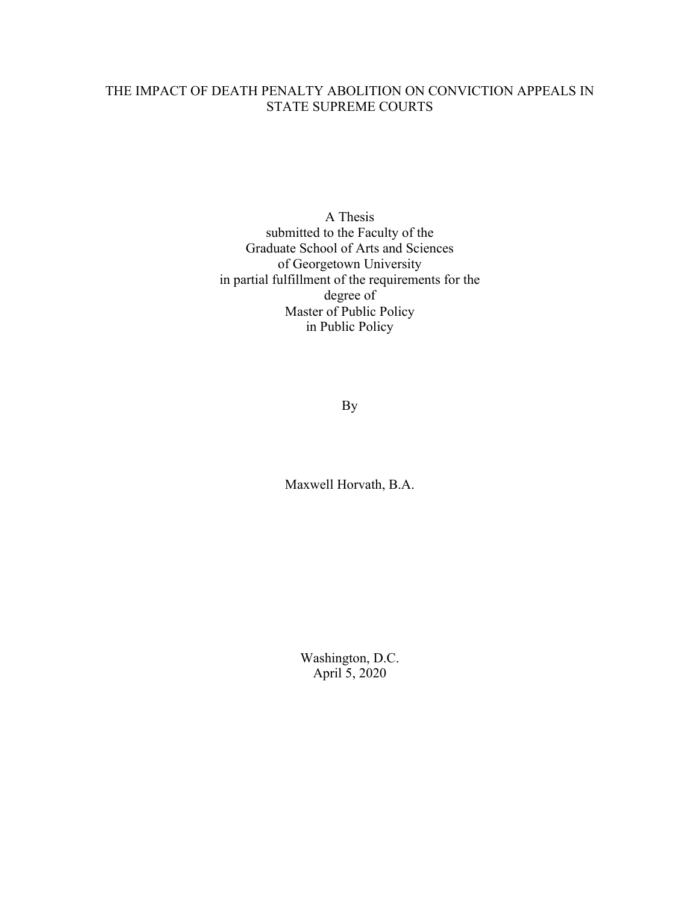# THE IMPACT OF DEATH PENALTY ABOLITION ON CONVICTION APPEALS IN STATE SUPREME COURTS

A Thesis submitted to the Faculty of the Graduate School of Arts and Sciences of Georgetown University in partial fulfillment of the requirements for the degree of Master of Public Policy in Public Policy

By

Maxwell Horvath, B.A.

Washington, D.C. April 5, 2020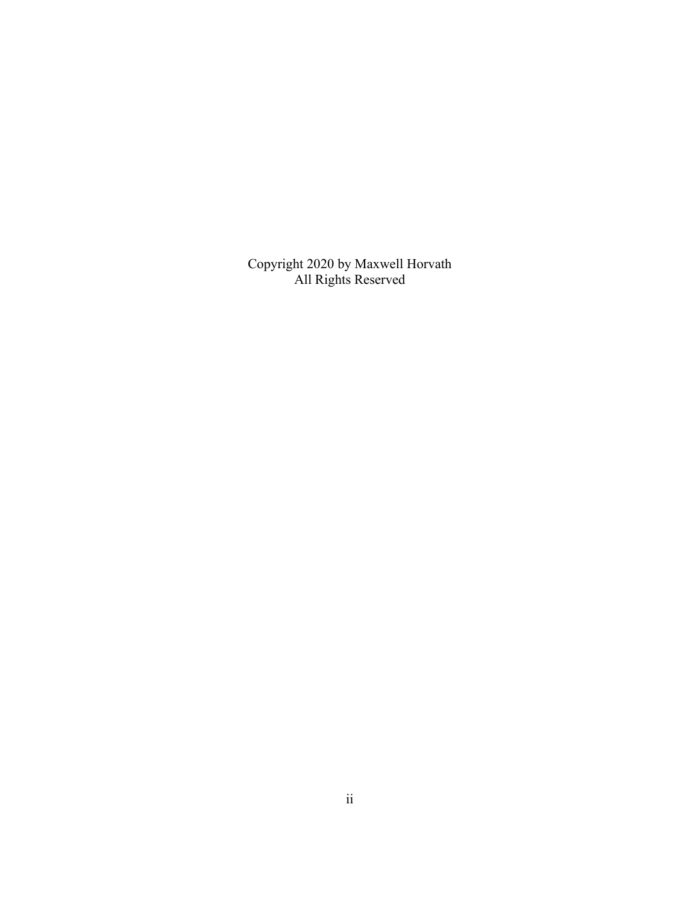Copyright 2020 by Maxwell Horvath All Rights Reserved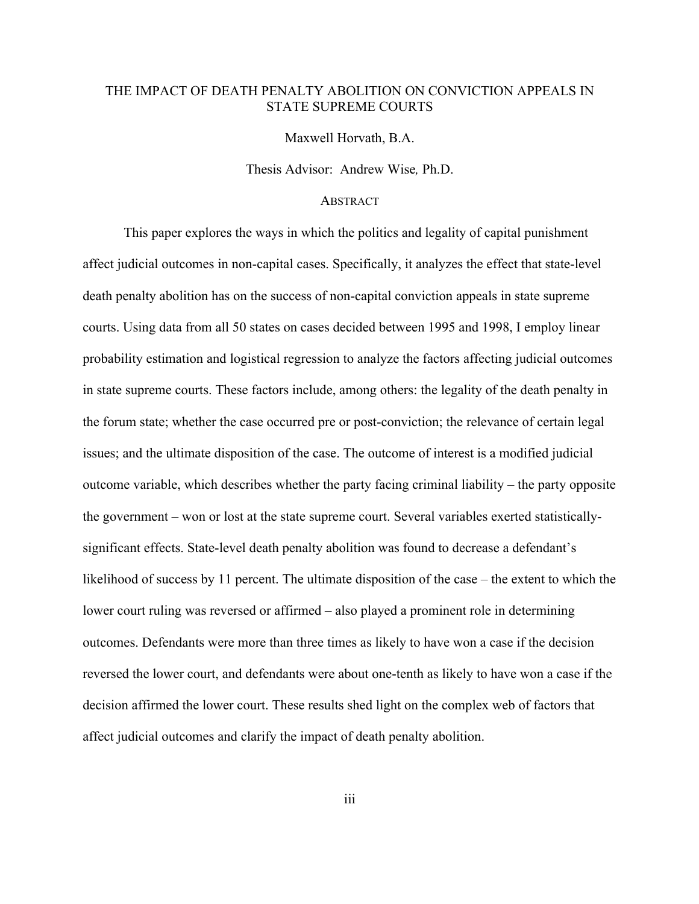# THE IMPACT OF DEATH PENALTY ABOLITION ON CONVICTION APPEALS IN STATE SUPREME COURTS

Maxwell Horvath, B.A.

Thesis Advisor:Andrew Wise*,* Ph.D.

# **ABSTRACT**

This paper explores the ways in which the politics and legality of capital punishment affect judicial outcomes in non-capital cases. Specifically, it analyzes the effect that state-level death penalty abolition has on the success of non-capital conviction appeals in state supreme courts. Using data from all 50 states on cases decided between 1995 and 1998, I employ linear probability estimation and logistical regression to analyze the factors affecting judicial outcomes in state supreme courts. These factors include, among others: the legality of the death penalty in the forum state; whether the case occurred pre or post-conviction; the relevance of certain legal issues; and the ultimate disposition of the case. The outcome of interest is a modified judicial outcome variable, which describes whether the party facing criminal liability – the party opposite the government – won or lost at the state supreme court. Several variables exerted statisticallysignificant effects. State-level death penalty abolition was found to decrease a defendant's likelihood of success by 11 percent. The ultimate disposition of the case – the extent to which the lower court ruling was reversed or affirmed – also played a prominent role in determining outcomes. Defendants were more than three times as likely to have won a case if the decision reversed the lower court, and defendants were about one-tenth as likely to have won a case if the decision affirmed the lower court. These results shed light on the complex web of factors that affect judicial outcomes and clarify the impact of death penalty abolition.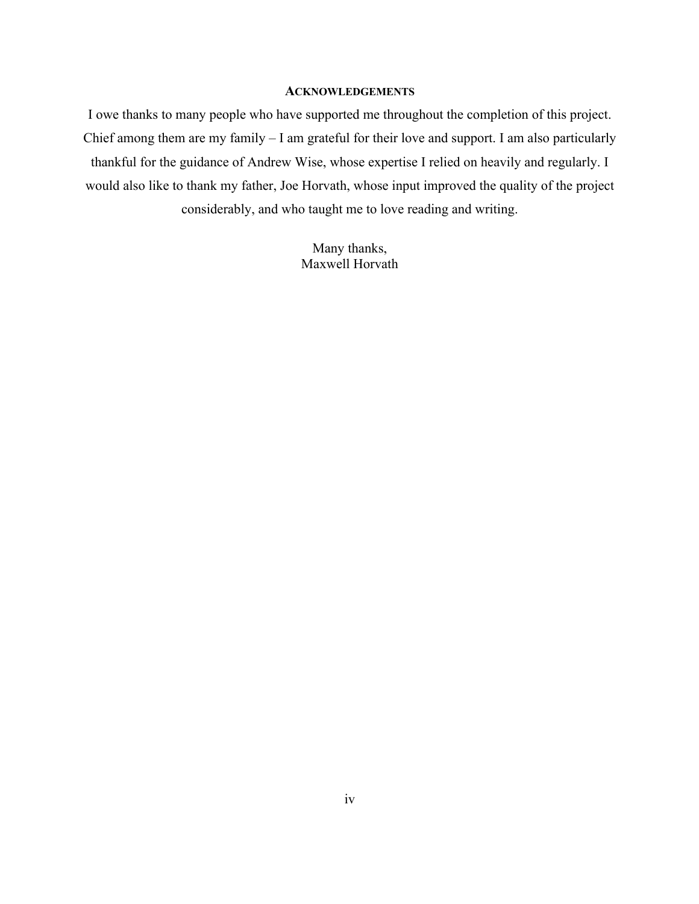### **ACKNOWLEDGEMENTS**

I owe thanks to many people who have supported me throughout the completion of this project. Chief among them are my family – I am grateful for their love and support. I am also particularly thankful for the guidance of Andrew Wise, whose expertise I relied on heavily and regularly. I would also like to thank my father, Joe Horvath, whose input improved the quality of the project considerably, and who taught me to love reading and writing.

> Many thanks, Maxwell Horvath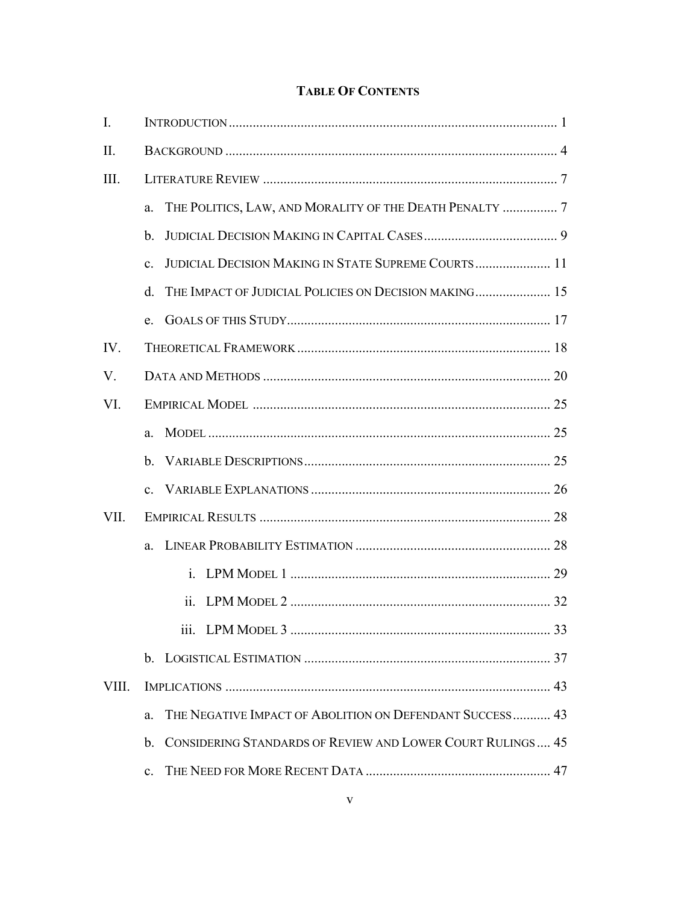# **TABLE OF CONTENTS**

| I.    |                                                                       |  |
|-------|-----------------------------------------------------------------------|--|
| II.   |                                                                       |  |
| Ш.    |                                                                       |  |
|       | THE POLITICS, LAW, AND MORALITY OF THE DEATH PENALTY  7<br>a.         |  |
|       | $\mathbf{b}$ .                                                        |  |
|       | JUDICIAL DECISION MAKING IN STATE SUPREME COURTS 11<br>$\mathbf{c}$ . |  |
|       | THE IMPACT OF JUDICIAL POLICIES ON DECISION MAKING 15<br>$d_{\cdot}$  |  |
|       | e.                                                                    |  |
| IV.   |                                                                       |  |
| V.    |                                                                       |  |
| VI.   |                                                                       |  |
|       | a.                                                                    |  |
|       | $h_{\cdot}$                                                           |  |
|       | $\mathbf{c}$ .                                                        |  |
| VII.  |                                                                       |  |
|       | a.                                                                    |  |
|       |                                                                       |  |
|       |                                                                       |  |
|       |                                                                       |  |
|       |                                                                       |  |
| VIII. |                                                                       |  |
|       | THE NEGATIVE IMPACT OF ABOLITION ON DEFENDANT SUCCESS 43<br>a.        |  |
|       | CONSIDERING STANDARDS OF REVIEW AND LOWER COURT RULINGS 45<br>b.      |  |
|       | $\mathbf{c}$ .                                                        |  |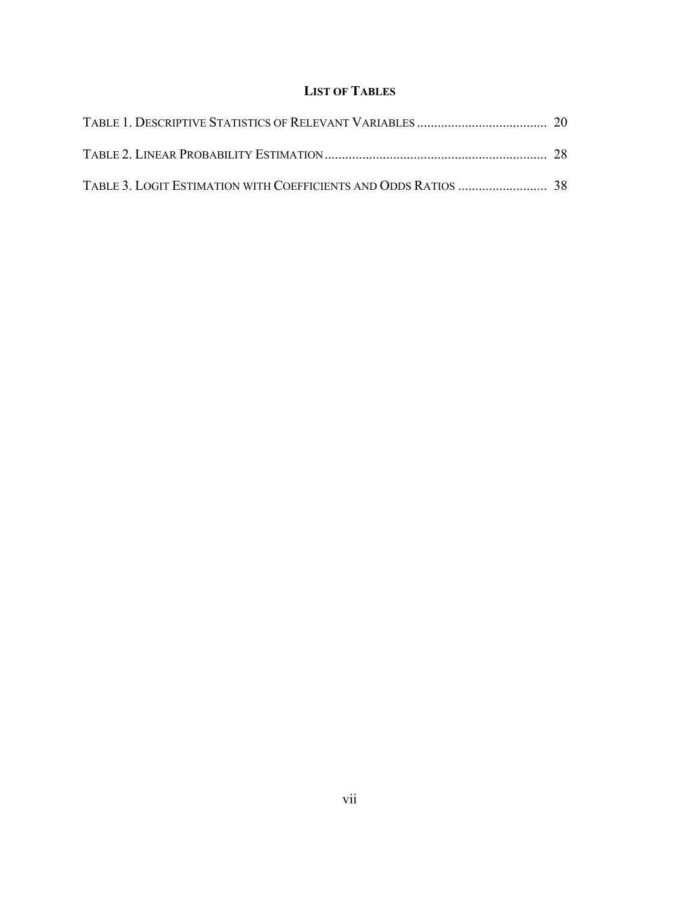# **LIST OF TABLES**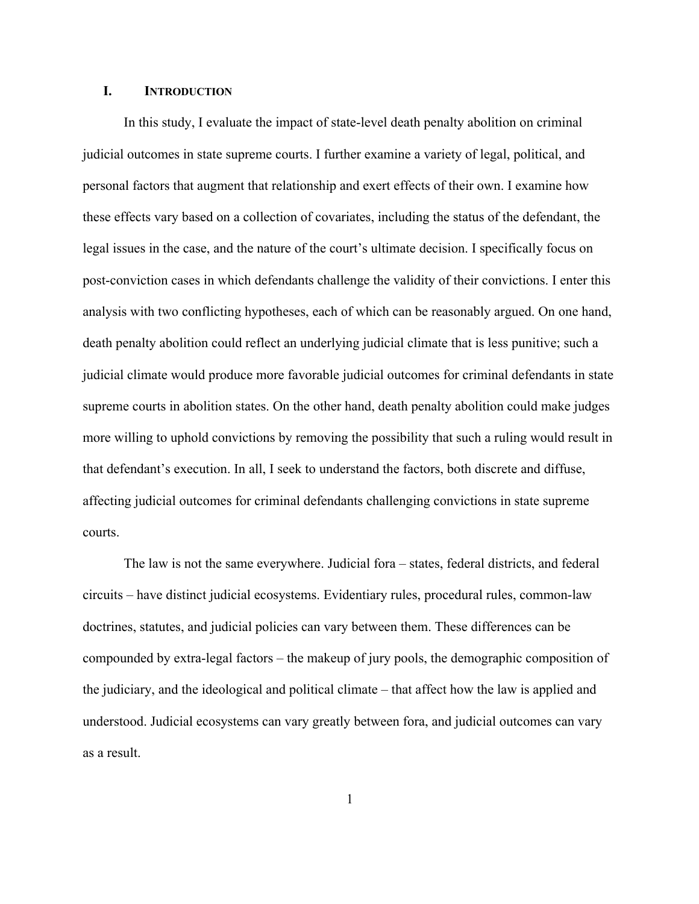### **I. INTRODUCTION**

In this study, I evaluate the impact of state-level death penalty abolition on criminal judicial outcomes in state supreme courts. I further examine a variety of legal, political, and personal factors that augment that relationship and exert effects of their own. I examine how these effects vary based on a collection of covariates, including the status of the defendant, the legal issues in the case, and the nature of the court's ultimate decision. I specifically focus on post-conviction cases in which defendants challenge the validity of their convictions. I enter this analysis with two conflicting hypotheses, each of which can be reasonably argued. On one hand, death penalty abolition could reflect an underlying judicial climate that is less punitive; such a judicial climate would produce more favorable judicial outcomes for criminal defendants in state supreme courts in abolition states. On the other hand, death penalty abolition could make judges more willing to uphold convictions by removing the possibility that such a ruling would result in that defendant's execution. In all, I seek to understand the factors, both discrete and diffuse, affecting judicial outcomes for criminal defendants challenging convictions in state supreme courts.

The law is not the same everywhere. Judicial fora – states, federal districts, and federal circuits – have distinct judicial ecosystems. Evidentiary rules, procedural rules, common-law doctrines, statutes, and judicial policies can vary between them. These differences can be compounded by extra-legal factors – the makeup of jury pools, the demographic composition of the judiciary, and the ideological and political climate – that affect how the law is applied and understood. Judicial ecosystems can vary greatly between fora, and judicial outcomes can vary as a result.

1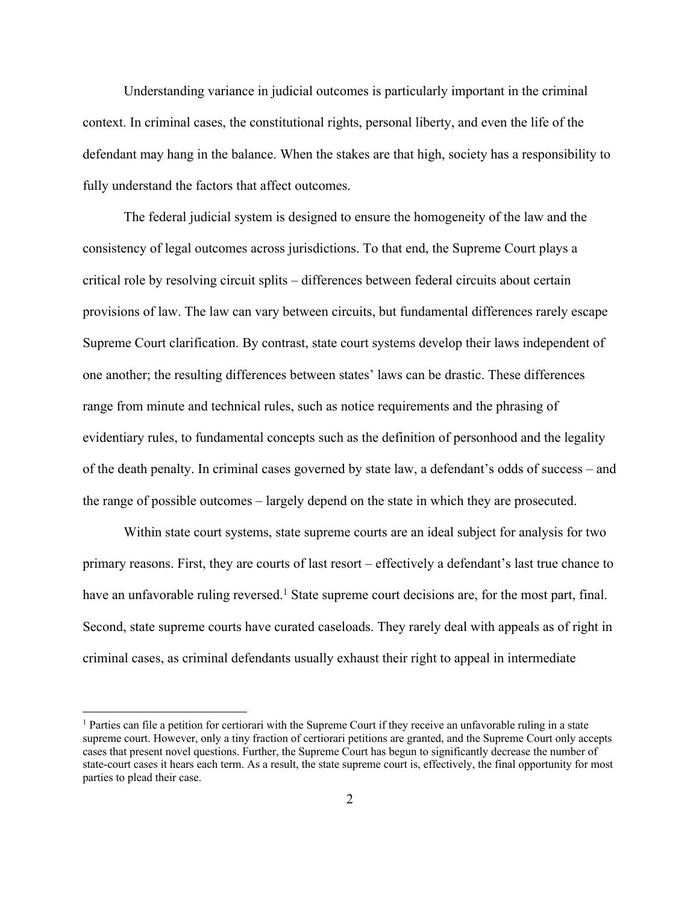Understanding variance in judicial outcomes is particularly important in the criminal context. In criminal cases, the constitutional rights, personal liberty, and even the life of the defendant may hang in the balance. When the stakes are that high, society has a responsibility to fully understand the factors that affect outcomes.

The federal judicial system is designed to ensure the homogeneity of the law and the consistency of legal outcomes across jurisdictions. To that end, the Supreme Court plays a critical role by resolving circuit splits – differences between federal circuits about certain provisions of law. The law can vary between circuits, but fundamental differences rarely escape Supreme Court clarification. By contrast, state court systems develop their laws independent of one another; the resulting differences between states' laws can be drastic. These differences range from minute and technical rules, such as notice requirements and the phrasing of evidentiary rules, to fundamental concepts such as the definition of personhood and the legality of the death penalty. In criminal cases governed by state law, a defendant's odds of success – and the range of possible outcomes – largely depend on the state in which they are prosecuted.

Within state court systems, state supreme courts are an ideal subject for analysis for two primary reasons. First, they are courts of last resort – effectively a defendant's last true chance to have an unfavorable ruling reversed.<sup>1</sup> State supreme court decisions are, for the most part, final. Second, state supreme courts have curated caseloads. They rarely deal with appeals as of right in criminal cases, as criminal defendants usually exhaust their right to appeal in intermediate

<sup>1</sup> Parties can file a petition for certiorari with the Supreme Court if they receive an unfavorable ruling in a state supreme court. However, only a tiny fraction of certiorari petitions are granted, and the Supreme Court only accepts cases that present novel questions. Further, the Supreme Court has begun to significantly decrease the number of state-court cases it hears each term. As a result, the state supreme court is, effectively, the final opportunity for most parties to plead their case.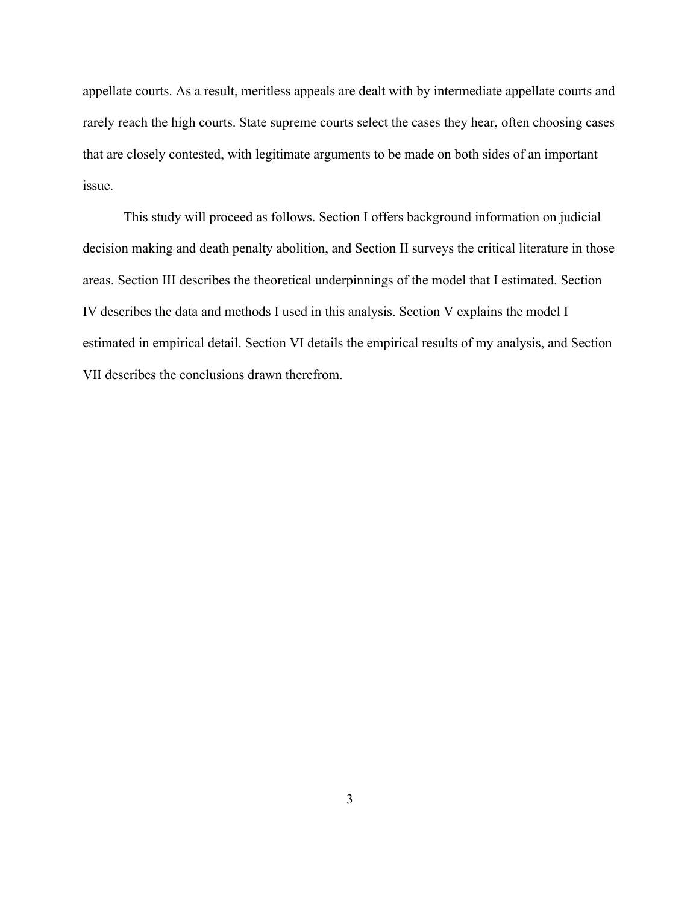appellate courts. As a result, meritless appeals are dealt with by intermediate appellate courts and rarely reach the high courts. State supreme courts select the cases they hear, often choosing cases that are closely contested, with legitimate arguments to be made on both sides of an important issue.

This study will proceed as follows. Section I offers background information on judicial decision making and death penalty abolition, and Section II surveys the critical literature in those areas. Section III describes the theoretical underpinnings of the model that I estimated. Section IV describes the data and methods I used in this analysis. Section V explains the model I estimated in empirical detail. Section VI details the empirical results of my analysis, and Section VII describes the conclusions drawn therefrom.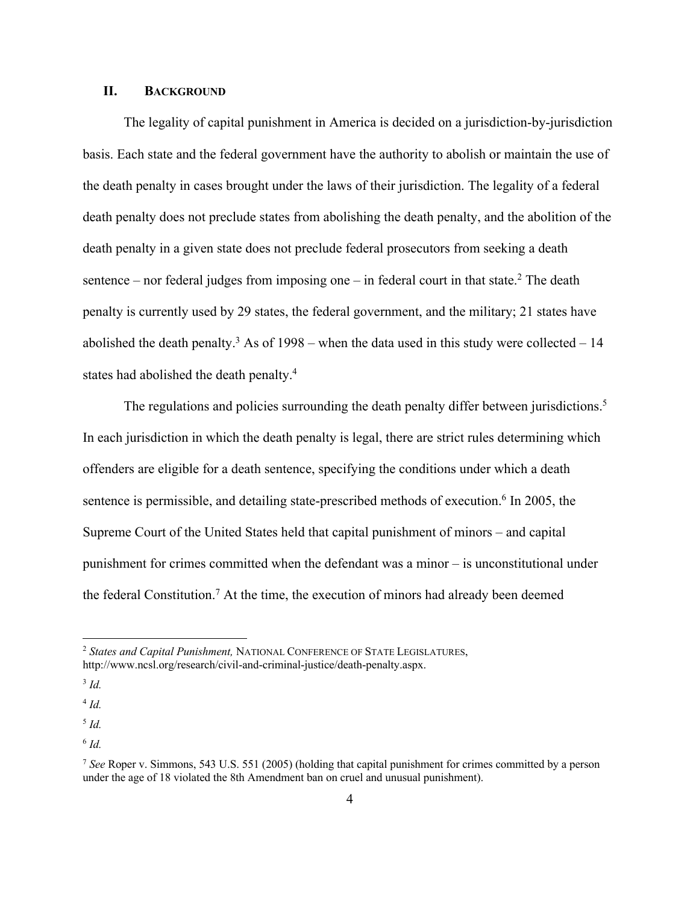# **II. BACKGROUND**

The legality of capital punishment in America is decided on a jurisdiction-by-jurisdiction basis. Each state and the federal government have the authority to abolish or maintain the use of the death penalty in cases brought under the laws of their jurisdiction. The legality of a federal death penalty does not preclude states from abolishing the death penalty, and the abolition of the death penalty in a given state does not preclude federal prosecutors from seeking a death sentence – nor federal judges from imposing one – in federal court in that state.<sup>2</sup> The death penalty is currently used by 29 states, the federal government, and the military; 21 states have abolished the death penalty.<sup>3</sup> As of 1998 – when the data used in this study were collected – 14 states had abolished the death penalty.4

The regulations and policies surrounding the death penalty differ between jurisdictions.<sup>5</sup> In each jurisdiction in which the death penalty is legal, there are strict rules determining which offenders are eligible for a death sentence, specifying the conditions under which a death sentence is permissible, and detailing state-prescribed methods of execution.<sup>6</sup> In 2005, the Supreme Court of the United States held that capital punishment of minors – and capital punishment for crimes committed when the defendant was a minor – is unconstitutional under the federal Constitution.7 At the time, the execution of minors had already been deemed

<sup>2</sup> *States and Capital Punishment,* NATIONAL CONFERENCE OF STATE LEGISLATURES, http://www.ncsl.org/research/civil-and-criminal-justice/death-penalty.aspx.

<sup>3</sup> *Id.*

<sup>4</sup> *Id.*

<sup>5</sup> *Id.*

<sup>6</sup> *Id.*

<sup>7</sup> *See* Roper v. Simmons, 543 U.S. 551 (2005) (holding that capital punishment for crimes committed by a person under the age of 18 violated the 8th Amendment ban on cruel and unusual punishment).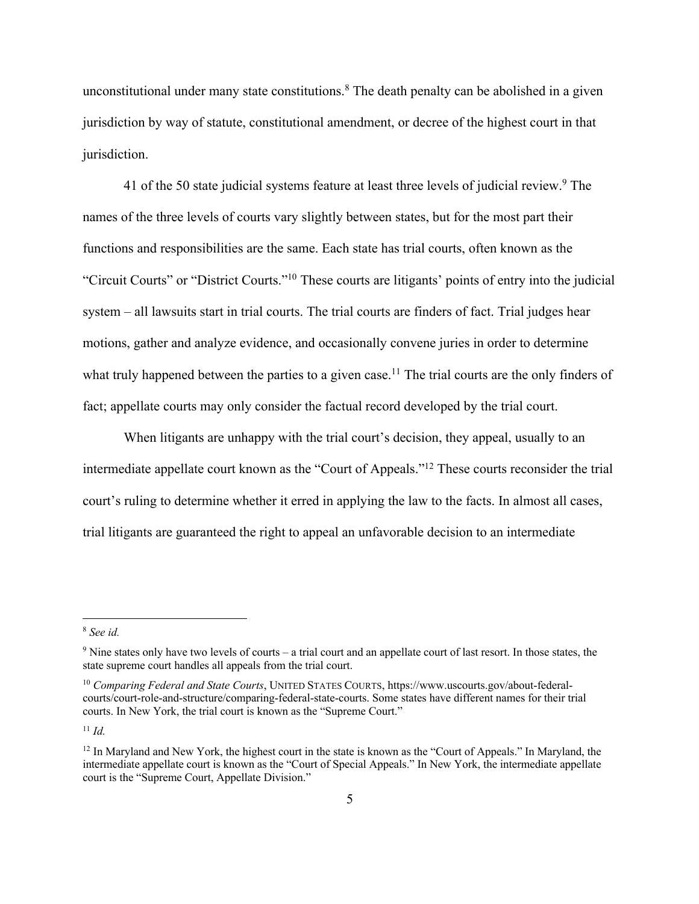unconstitutional under many state constitutions.<sup>8</sup> The death penalty can be abolished in a given jurisdiction by way of statute, constitutional amendment, or decree of the highest court in that jurisdiction.

41 of the 50 state judicial systems feature at least three levels of judicial review.<sup>9</sup> The names of the three levels of courts vary slightly between states, but for the most part their functions and responsibilities are the same. Each state has trial courts, often known as the "Circuit Courts" or "District Courts."10 These courts are litigants' points of entry into the judicial system – all lawsuits start in trial courts. The trial courts are finders of fact. Trial judges hear motions, gather and analyze evidence, and occasionally convene juries in order to determine what truly happened between the parties to a given case.<sup>11</sup> The trial courts are the only finders of fact; appellate courts may only consider the factual record developed by the trial court.

When litigants are unhappy with the trial court's decision, they appeal, usually to an intermediate appellate court known as the "Court of Appeals."12 These courts reconsider the trial court's ruling to determine whether it erred in applying the law to the facts. In almost all cases, trial litigants are guaranteed the right to appeal an unfavorable decision to an intermediate

<sup>8</sup> *See id.*

<sup>9</sup> Nine states only have two levels of courts – a trial court and an appellate court of last resort. In those states, the state supreme court handles all appeals from the trial court.

<sup>10</sup> *Comparing Federal and State Courts*, UNITED STATES COURTS, https://www.uscourts.gov/about-federalcourts/court-role-and-structure/comparing-federal-state-courts. Some states have different names for their trial courts. In New York, the trial court is known as the "Supreme Court."

<sup>11</sup> *Id.*

<sup>&</sup>lt;sup>12</sup> In Maryland and New York, the highest court in the state is known as the "Court of Appeals." In Maryland, the intermediate appellate court is known as the "Court of Special Appeals." In New York, the intermediate appellate court is the "Supreme Court, Appellate Division."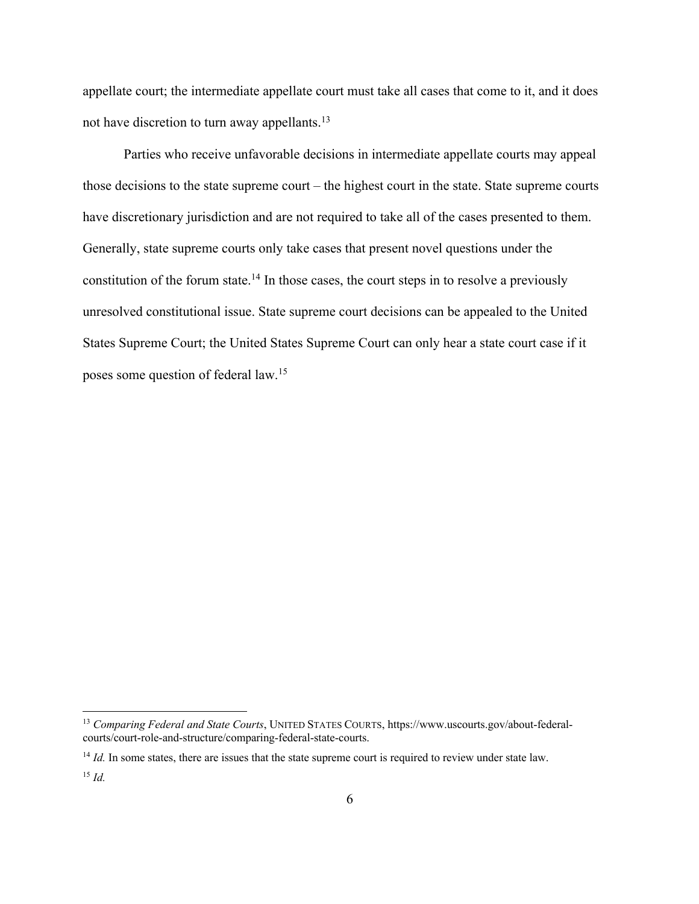appellate court; the intermediate appellate court must take all cases that come to it, and it does not have discretion to turn away appellants.<sup>13</sup>

Parties who receive unfavorable decisions in intermediate appellate courts may appeal those decisions to the state supreme court – the highest court in the state. State supreme courts have discretionary jurisdiction and are not required to take all of the cases presented to them. Generally, state supreme courts only take cases that present novel questions under the constitution of the forum state.<sup>14</sup> In those cases, the court steps in to resolve a previously unresolved constitutional issue. State supreme court decisions can be appealed to the United States Supreme Court; the United States Supreme Court can only hear a state court case if it poses some question of federal law.<sup>15</sup>

<sup>13</sup> *Comparing Federal and State Courts*, UNITED STATES COURTS, https://www.uscourts.gov/about-federalcourts/court-role-and-structure/comparing-federal-state-courts.

<sup>&</sup>lt;sup>14</sup> *Id.* In some states, there are issues that the state supreme court is required to review under state law.

<sup>15</sup> *Id.*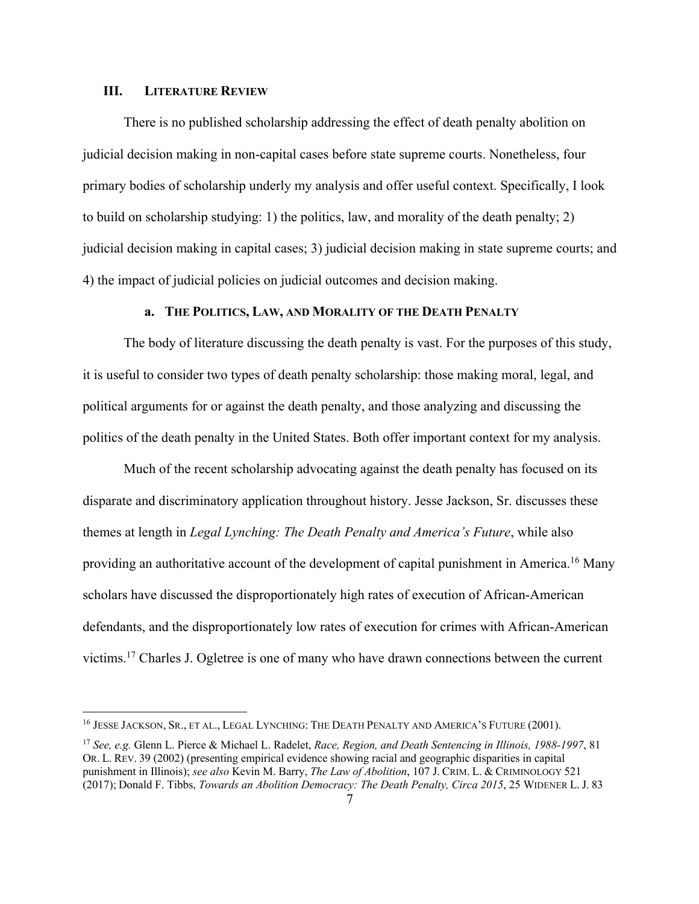#### **III. LITERATURE REVIEW**

There is no published scholarship addressing the effect of death penalty abolition on judicial decision making in non-capital cases before state supreme courts. Nonetheless, four primary bodies of scholarship underly my analysis and offer useful context. Specifically, I look to build on scholarship studying: 1) the politics, law, and morality of the death penalty; 2) judicial decision making in capital cases; 3) judicial decision making in state supreme courts; and 4) the impact of judicial policies on judicial outcomes and decision making.

### **a. THE POLITICS, LAW, AND MORALITY OF THE DEATH PENALTY**

The body of literature discussing the death penalty is vast. For the purposes of this study, it is useful to consider two types of death penalty scholarship: those making moral, legal, and political arguments for or against the death penalty, and those analyzing and discussing the politics of the death penalty in the United States. Both offer important context for my analysis.

Much of the recent scholarship advocating against the death penalty has focused on its disparate and discriminatory application throughout history. Jesse Jackson, Sr. discusses these themes at length in *Legal Lynching: The Death Penalty and America's Future*, while also providing an authoritative account of the development of capital punishment in America.16 Many scholars have discussed the disproportionately high rates of execution of African-American defendants, and the disproportionately low rates of execution for crimes with African-American victims.17 Charles J. Ogletree is one of many who have drawn connections between the current

<sup>&</sup>lt;sup>16</sup> JESSE JACKSON, SR., ET AL., LEGAL LYNCHING: THE DEATH PENALTY AND AMERICA'S FUTURE (2001).

<sup>17</sup> *See, e.g.* Glenn L. Pierce & Michael L. Radelet, *Race, Region, and Death Sentencing in Illinois, 1988-1997*, 81 OR. L. REV. 39 (2002) (presenting empirical evidence showing racial and geographic disparities in capital punishment in Illinois); *see also* Kevin M. Barry, *The Law of Abolition*, 107 J. CRIM. L. & CRIMINOLOGY 521 (2017); Donald F. Tibbs, *Towards an Abolition Democracy: The Death Penalty, Circa 2015*, 25 WIDENER L. J. 83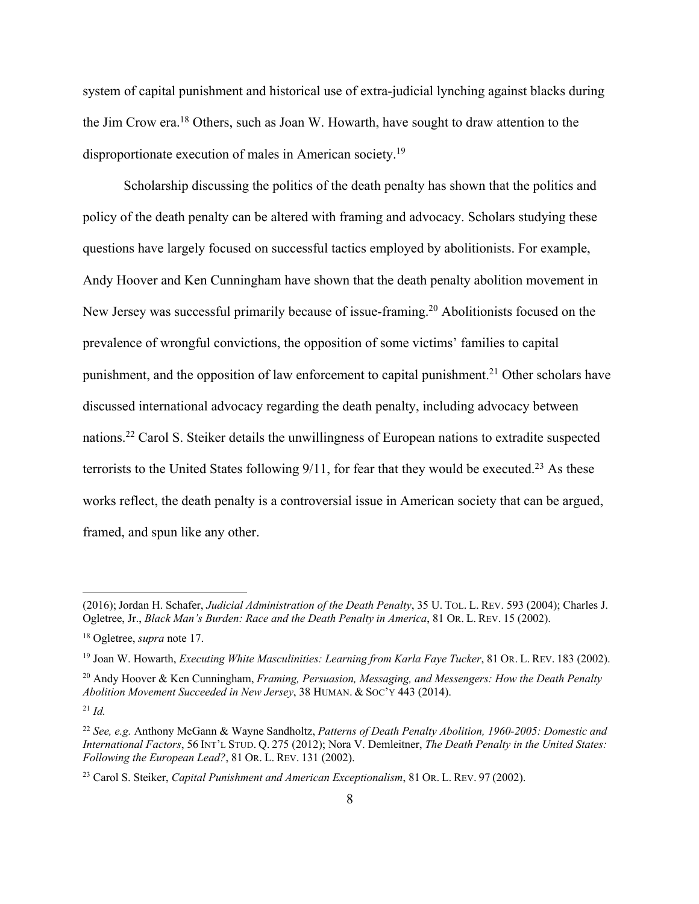system of capital punishment and historical use of extra-judicial lynching against blacks during the Jim Crow era.18 Others, such as Joan W. Howarth, have sought to draw attention to the disproportionate execution of males in American society.19

Scholarship discussing the politics of the death penalty has shown that the politics and policy of the death penalty can be altered with framing and advocacy. Scholars studying these questions have largely focused on successful tactics employed by abolitionists. For example, Andy Hoover and Ken Cunningham have shown that the death penalty abolition movement in New Jersey was successful primarily because of issue-framing.<sup>20</sup> Abolitionists focused on the prevalence of wrongful convictions, the opposition of some victims' families to capital punishment, and the opposition of law enforcement to capital punishment.<sup>21</sup> Other scholars have discussed international advocacy regarding the death penalty, including advocacy between nations.22 Carol S. Steiker details the unwillingness of European nations to extradite suspected terrorists to the United States following  $9/11$ , for fear that they would be executed.<sup>23</sup> As these works reflect, the death penalty is a controversial issue in American society that can be argued, framed, and spun like any other.

<sup>(2016);</sup>Jordan H. Schafer, *Judicial Administration of the Death Penalty*, 35 U. TOL. L. REV. 593 (2004); Charles J. Ogletree, Jr., *Black Man's Burden: Race and the Death Penalty in America*, 81 OR. L. REV. 15 (2002).

<sup>18</sup> Ogletree, *supra* note 17.

<sup>19</sup> Joan W. Howarth, *Executing White Masculinities: Learning from Karla Faye Tucker*, 81 OR. L. REV. 183 (2002).

<sup>20</sup> Andy Hoover & Ken Cunningham, *Framing, Persuasion, Messaging, and Messengers: How the Death Penalty Abolition Movement Succeeded in New Jersey*, 38 HUMAN. & SOC'Y 443 (2014).

<sup>21</sup> *Id.*

<sup>22</sup> *See, e.g.* Anthony McGann & Wayne Sandholtz, *Patterns of Death Penalty Abolition, 1960-2005: Domestic and International Factors*, 56 INT'L STUD. Q. 275 (2012); Nora V. Demleitner, *The Death Penalty in the United States: Following the European Lead?*, 81 OR. L. REV. 131 (2002).

<sup>23</sup> Carol S. Steiker, *Capital Punishment and American Exceptionalism*, 81 OR. L. REV. 97 (2002).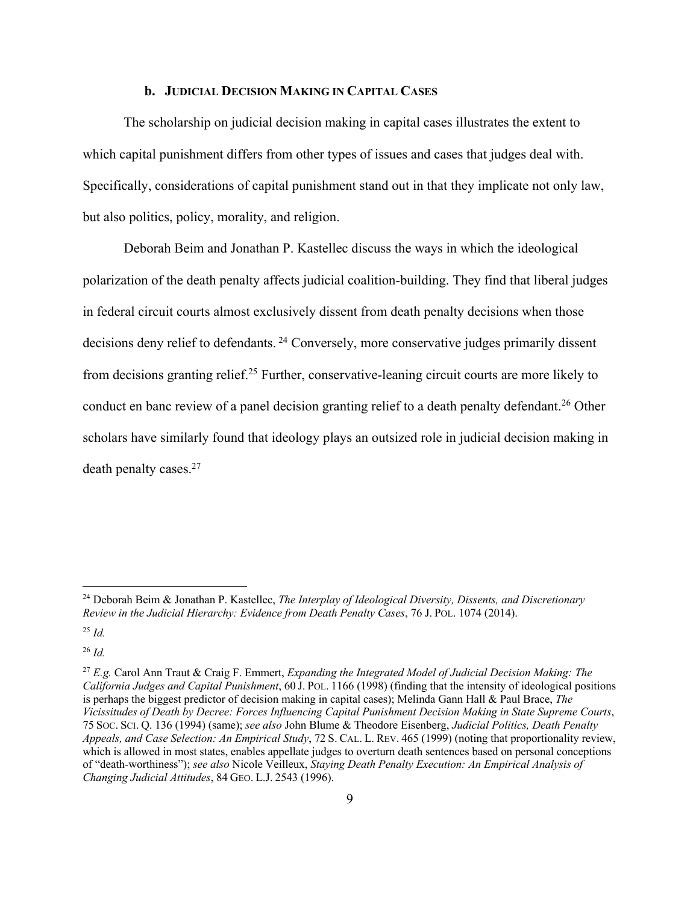#### **b. JUDICIAL DECISION MAKING IN CAPITAL CASES**

The scholarship on judicial decision making in capital cases illustrates the extent to which capital punishment differs from other types of issues and cases that judges deal with. Specifically, considerations of capital punishment stand out in that they implicate not only law, but also politics, policy, morality, and religion.

Deborah Beim and Jonathan P. Kastellec discuss the ways in which the ideological polarization of the death penalty affects judicial coalition-building. They find that liberal judges in federal circuit courts almost exclusively dissent from death penalty decisions when those decisions deny relief to defendants.<sup>24</sup> Conversely, more conservative judges primarily dissent from decisions granting relief.<sup>25</sup> Further, conservative-leaning circuit courts are more likely to conduct en banc review of a panel decision granting relief to a death penalty defendant.<sup>26</sup> Other scholars have similarly found that ideology plays an outsized role in judicial decision making in death penalty cases. 27

<sup>26</sup> *Id.*

<sup>24</sup> Deborah Beim & Jonathan P. Kastellec, *The Interplay of Ideological Diversity, Dissents, and Discretionary Review in the Judicial Hierarchy: Evidence from Death Penalty Cases*, 76 J. POL. 1074 (2014).

<sup>25</sup> *Id.*

<sup>27</sup> *E.g.* Carol Ann Traut & Craig F. Emmert, *Expanding the Integrated Model of Judicial Decision Making: The California Judges and Capital Punishment*, 60 J. POL. 1166 (1998) (finding that the intensity of ideological positions is perhaps the biggest predictor of decision making in capital cases); Melinda Gann Hall & Paul Brace, *The Vicissitudes of Death by Decree: Forces Influencing Capital Punishment Decision Making in State Supreme Courts*, 75 SOC. SCI. Q. 136 (1994) (same); *see also* John Blume & Theodore Eisenberg, *Judicial Politics, Death Penalty Appeals, and Case Selection: An Empirical Study*, 72 S. CAL. L. REV. 465 (1999) (noting that proportionality review, which is allowed in most states, enables appellate judges to overturn death sentences based on personal conceptions of "death-worthiness"); *see also* Nicole Veilleux, *Staying Death Penalty Execution: An Empirical Analysis of Changing Judicial Attitudes*, 84 GEO. L.J. 2543 (1996).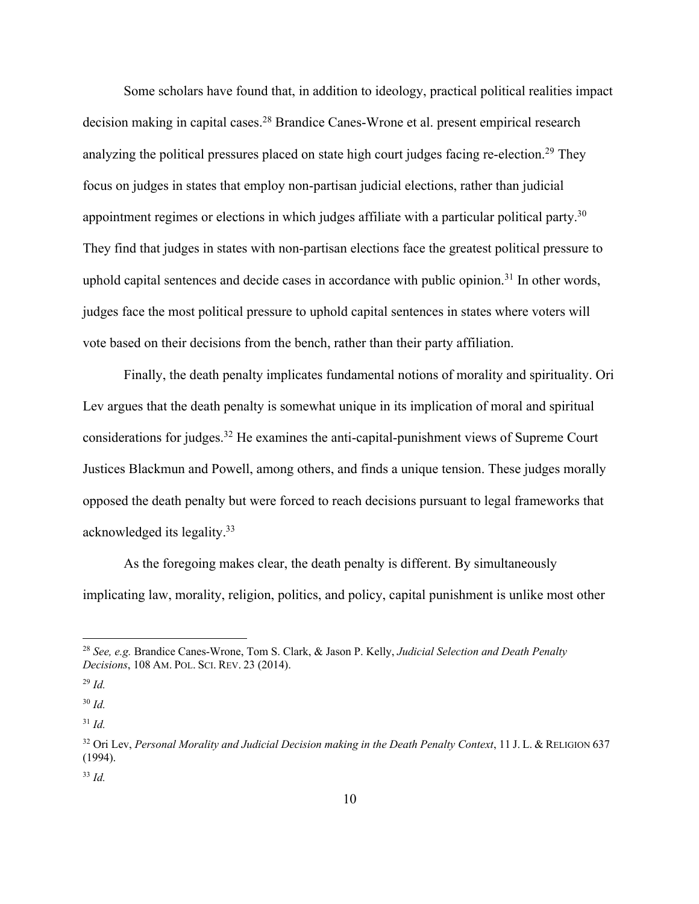Some scholars have found that, in addition to ideology, practical political realities impact decision making in capital cases.<sup>28</sup> Brandice Canes-Wrone et al. present empirical research analyzing the political pressures placed on state high court judges facing re-election.<sup>29</sup> They focus on judges in states that employ non-partisan judicial elections, rather than judicial appointment regimes or elections in which judges affiliate with a particular political party.<sup>30</sup> They find that judges in states with non-partisan elections face the greatest political pressure to uphold capital sentences and decide cases in accordance with public opinion.<sup>31</sup> In other words, judges face the most political pressure to uphold capital sentences in states where voters will vote based on their decisions from the bench, rather than their party affiliation.

Finally, the death penalty implicates fundamental notions of morality and spirituality. Ori Lev argues that the death penalty is somewhat unique in its implication of moral and spiritual considerations for judges.32 He examines the anti-capital-punishment views of Supreme Court Justices Blackmun and Powell, among others, and finds a unique tension. These judges morally opposed the death penalty but were forced to reach decisions pursuant to legal frameworks that acknowledged its legality.33

As the foregoing makes clear, the death penalty is different. By simultaneously implicating law, morality, religion, politics, and policy, capital punishment is unlike most other

<sup>28</sup> *See, e.g.* Brandice Canes-Wrone, Tom S. Clark, & Jason P. Kelly, *Judicial Selection and Death Penalty Decisions*, 108 AM. POL. SCI. REV. 23 (2014).

<sup>29</sup> *Id.*

<sup>30</sup> *Id.*

<sup>31</sup> *Id.*

<sup>32</sup> Ori Lev, *Personal Morality and Judicial Decision making in the Death Penalty Context*, 11 J. L. & RELIGION 637 (1994).

<sup>33</sup> *Id.*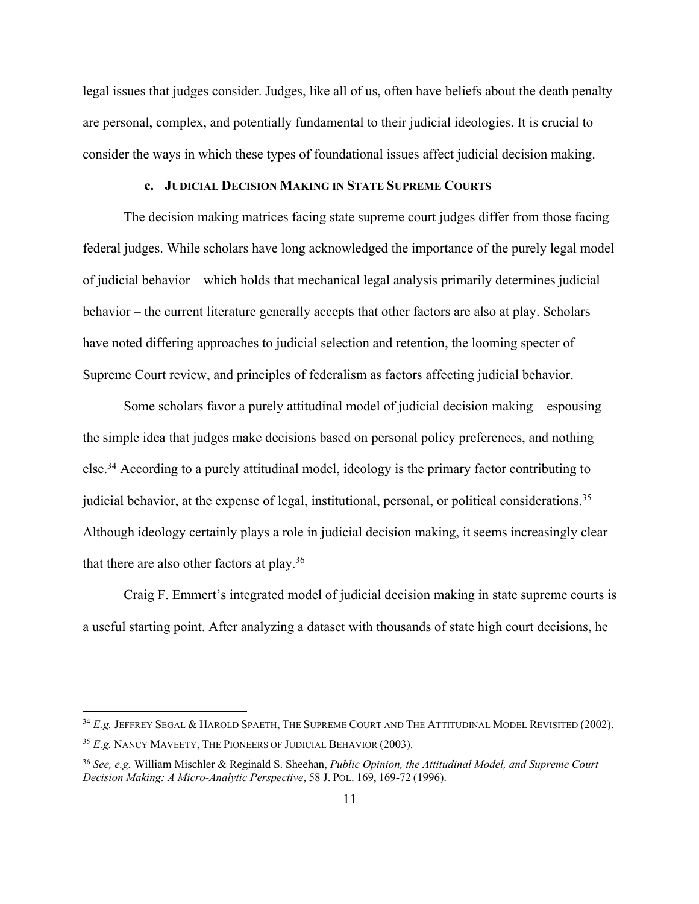legal issues that judges consider. Judges, like all of us, often have beliefs about the death penalty are personal, complex, and potentially fundamental to their judicial ideologies. It is crucial to consider the ways in which these types of foundational issues affect judicial decision making.

## **c. JUDICIAL DECISION MAKING IN STATE SUPREME COURTS**

The decision making matrices facing state supreme court judges differ from those facing federal judges. While scholars have long acknowledged the importance of the purely legal model of judicial behavior – which holds that mechanical legal analysis primarily determines judicial behavior – the current literature generally accepts that other factors are also at play. Scholars have noted differing approaches to judicial selection and retention, the looming specter of Supreme Court review, and principles of federalism as factors affecting judicial behavior.

Some scholars favor a purely attitudinal model of judicial decision making – espousing the simple idea that judges make decisions based on personal policy preferences, and nothing else.<sup>34</sup> According to a purely attitudinal model, ideology is the primary factor contributing to judicial behavior, at the expense of legal, institutional, personal, or political considerations.<sup>35</sup> Although ideology certainly plays a role in judicial decision making, it seems increasingly clear that there are also other factors at play.36

Craig F. Emmert's integrated model of judicial decision making in state supreme courts is a useful starting point. After analyzing a dataset with thousands of state high court decisions, he

<sup>34</sup> *E.g.* JEFFREY SEGAL & HAROLD SPAETH, THE SUPREME COURT AND THE ATTITUDINAL MODEL REVISITED (2002). <sup>35</sup> *E.g.* NANCY MAVEETY, THE PIONEERS OF JUDICIAL BEHAVIOR (2003).

<sup>36</sup> *See, e.g.* William Mischler & Reginald S. Sheehan, *Public Opinion, the Attitudinal Model, and Supreme Court Decision Making: A Micro-Analytic Perspective*, 58 J. POL. 169, 169-72 (1996).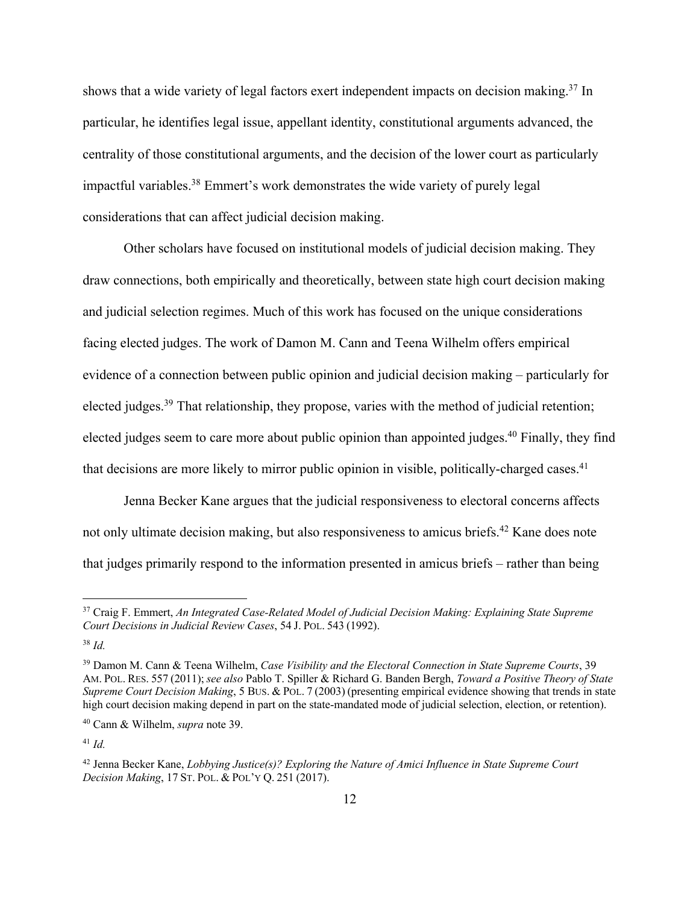shows that a wide variety of legal factors exert independent impacts on decision making.<sup>37</sup> In particular, he identifies legal issue, appellant identity, constitutional arguments advanced, the centrality of those constitutional arguments, and the decision of the lower court as particularly impactful variables.38 Emmert's work demonstrates the wide variety of purely legal considerations that can affect judicial decision making.

Other scholars have focused on institutional models of judicial decision making. They draw connections, both empirically and theoretically, between state high court decision making and judicial selection regimes. Much of this work has focused on the unique considerations facing elected judges. The work of Damon M. Cann and Teena Wilhelm offers empirical evidence of a connection between public opinion and judicial decision making – particularly for elected judges.<sup>39</sup> That relationship, they propose, varies with the method of judicial retention; elected judges seem to care more about public opinion than appointed judges.<sup>40</sup> Finally, they find that decisions are more likely to mirror public opinion in visible, politically-charged cases.<sup>41</sup>

Jenna Becker Kane argues that the judicial responsiveness to electoral concerns affects not only ultimate decision making, but also responsiveness to amicus briefs.<sup>42</sup> Kane does note that judges primarily respond to the information presented in amicus briefs – rather than being

<sup>41</sup> *Id.*

<sup>37</sup> Craig F. Emmert, *An Integrated Case-Related Model of Judicial Decision Making: Explaining State Supreme Court Decisions in Judicial Review Cases*, 54 J. POL. 543 (1992).

<sup>38</sup> *Id.*

<sup>39</sup> Damon M. Cann & Teena Wilhelm, *Case Visibility and the Electoral Connection in State Supreme Courts*, 39 AM. POL. RES. 557 (2011);*see also* Pablo T. Spiller & Richard G. Banden Bergh, *Toward a Positive Theory of State Supreme Court Decision Making*, 5 BUS. & POL. 7 (2003) (presenting empirical evidence showing that trends in state high court decision making depend in part on the state-mandated mode of judicial selection, election, or retention).

<sup>40</sup> Cann & Wilhelm, *supra* note 39.

<sup>42</sup> Jenna Becker Kane, *Lobbying Justice(s)? Exploring the Nature of Amici Influence in State Supreme Court Decision Making*, 17 ST. POL. & POL'Y Q. 251 (2017).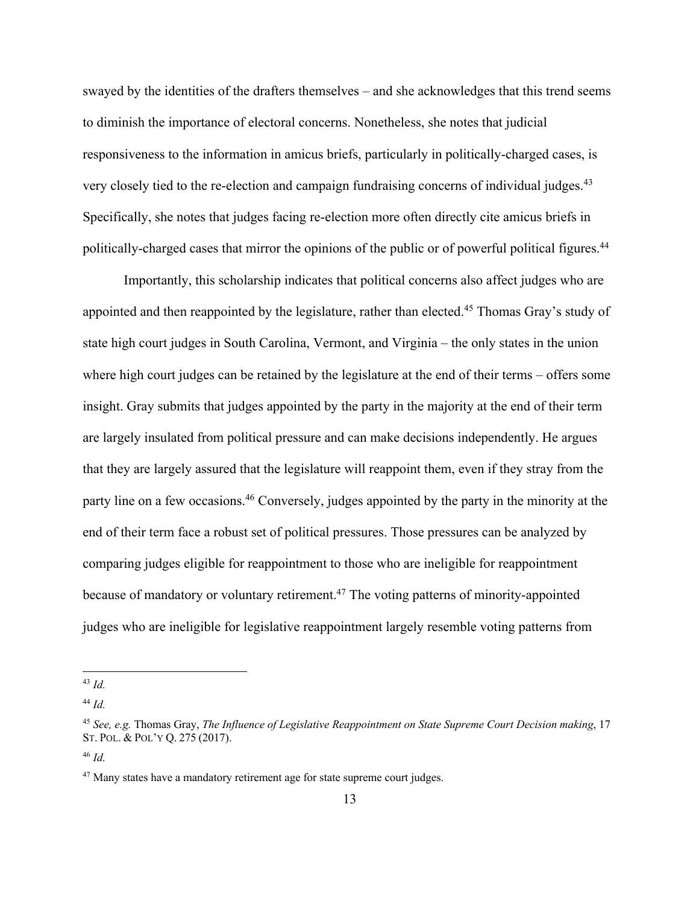swayed by the identities of the drafters themselves – and she acknowledges that this trend seems to diminish the importance of electoral concerns. Nonetheless, she notes that judicial responsiveness to the information in amicus briefs, particularly in politically-charged cases, is very closely tied to the re-election and campaign fundraising concerns of individual judges.<sup>43</sup> Specifically, she notes that judges facing re-election more often directly cite amicus briefs in politically-charged cases that mirror the opinions of the public or of powerful political figures.<sup>44</sup>

Importantly, this scholarship indicates that political concerns also affect judges who are appointed and then reappointed by the legislature, rather than elected.<sup>45</sup> Thomas Gray's study of state high court judges in South Carolina, Vermont, and Virginia – the only states in the union where high court judges can be retained by the legislature at the end of their terms – offers some insight. Gray submits that judges appointed by the party in the majority at the end of their term are largely insulated from political pressure and can make decisions independently. He argues that they are largely assured that the legislature will reappoint them, even if they stray from the party line on a few occasions.<sup>46</sup> Conversely, judges appointed by the party in the minority at the end of their term face a robust set of political pressures. Those pressures can be analyzed by comparing judges eligible for reappointment to those who are ineligible for reappointment because of mandatory or voluntary retirement.47 The voting patterns of minority-appointed judges who are ineligible for legislative reappointment largely resemble voting patterns from

<sup>43</sup> *Id.*

<sup>44</sup> *Id.*

<sup>45</sup> *See, e.g.* Thomas Gray, *The Influence of Legislative Reappointment on State Supreme Court Decision making*, 17 ST. POL. & POL'Y Q. 275 (2017).

<sup>46</sup> *Id.*

<sup>&</sup>lt;sup>47</sup> Many states have a mandatory retirement age for state supreme court judges.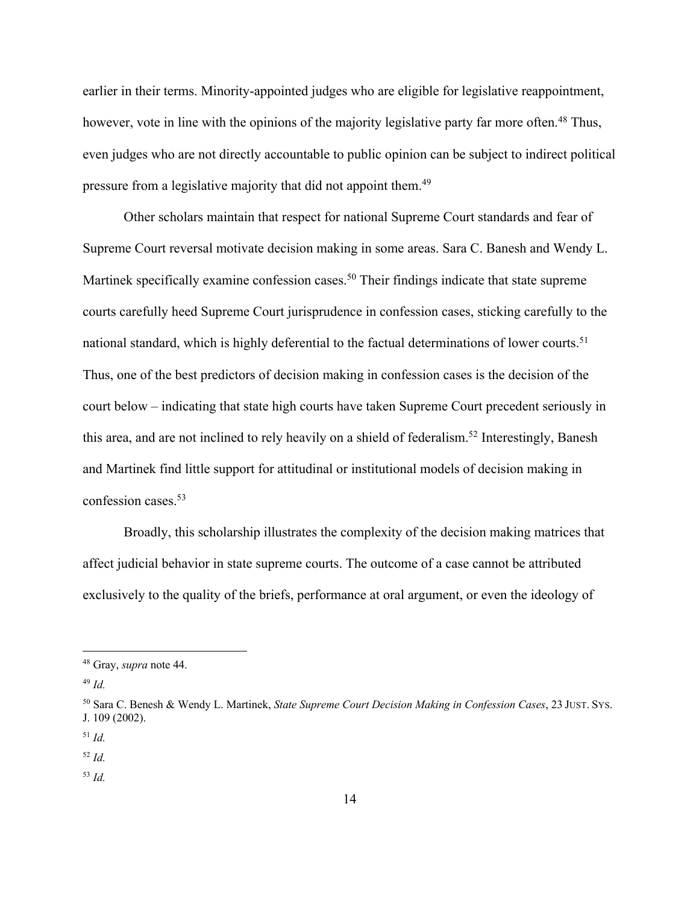earlier in their terms. Minority-appointed judges who are eligible for legislative reappointment, however, vote in line with the opinions of the majority legislative party far more often.<sup>48</sup> Thus, even judges who are not directly accountable to public opinion can be subject to indirect political pressure from a legislative majority that did not appoint them.49

Other scholars maintain that respect for national Supreme Court standards and fear of Supreme Court reversal motivate decision making in some areas. Sara C. Banesh and Wendy L. Martinek specifically examine confession cases.<sup>50</sup> Their findings indicate that state supreme courts carefully heed Supreme Court jurisprudence in confession cases, sticking carefully to the national standard, which is highly deferential to the factual determinations of lower courts.<sup>51</sup> Thus, one of the best predictors of decision making in confession cases is the decision of the court below – indicating that state high courts have taken Supreme Court precedent seriously in this area, and are not inclined to rely heavily on a shield of federalism.<sup>52</sup> Interestingly, Banesh and Martinek find little support for attitudinal or institutional models of decision making in confession cases.53

Broadly, this scholarship illustrates the complexity of the decision making matrices that affect judicial behavior in state supreme courts. The outcome of a case cannot be attributed exclusively to the quality of the briefs, performance at oral argument, or even the ideology of

<sup>49</sup> *Id.*

<sup>51</sup> *Id.*

<sup>52</sup> *Id.*

<sup>53</sup> *Id.*

<sup>48</sup> Gray, *supra* note 44.

<sup>50</sup> Sara C. Benesh & Wendy L. Martinek, *State Supreme Court Decision Making in Confession Cases*, 23 JUST. SYS. J. 109 (2002).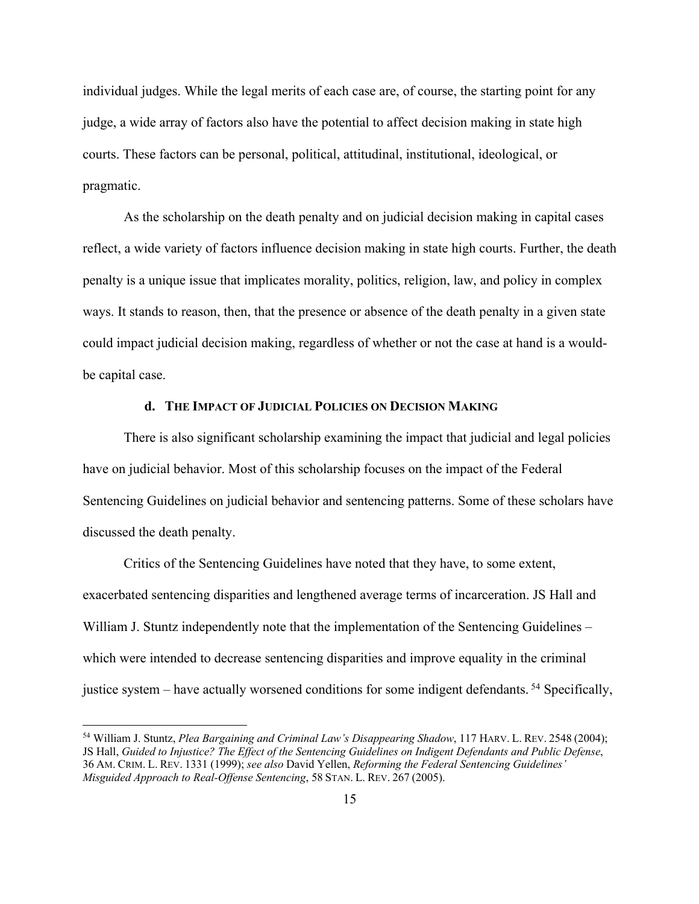individual judges. While the legal merits of each case are, of course, the starting point for any judge, a wide array of factors also have the potential to affect decision making in state high courts. These factors can be personal, political, attitudinal, institutional, ideological, or pragmatic.

As the scholarship on the death penalty and on judicial decision making in capital cases reflect, a wide variety of factors influence decision making in state high courts. Further, the death penalty is a unique issue that implicates morality, politics, religion, law, and policy in complex ways. It stands to reason, then, that the presence or absence of the death penalty in a given state could impact judicial decision making, regardless of whether or not the case at hand is a wouldbe capital case.

# **d. THE IMPACT OF JUDICIAL POLICIES ON DECISION MAKING**

There is also significant scholarship examining the impact that judicial and legal policies have on judicial behavior. Most of this scholarship focuses on the impact of the Federal Sentencing Guidelines on judicial behavior and sentencing patterns. Some of these scholars have discussed the death penalty.

Critics of the Sentencing Guidelines have noted that they have, to some extent, exacerbated sentencing disparities and lengthened average terms of incarceration. JS Hall and William J. Stuntz independently note that the implementation of the Sentencing Guidelines – which were intended to decrease sentencing disparities and improve equality in the criminal justice system – have actually worsened conditions for some indigent defendants. <sup>54</sup> Specifically,

<sup>54</sup> William J. Stuntz, *Plea Bargaining and Criminal Law's Disappearing Shadow*, 117 HARV. L. REV. 2548 (2004); JS Hall, *Guided to Injustice? The Effect of the Sentencing Guidelines on Indigent Defendants and Public Defense*, 36 AM. CRIM. L. REV. 1331 (1999); *see also* David Yellen, *Reforming the Federal Sentencing Guidelines' Misguided Approach to Real-Offense Sentencing*, 58 STAN. L. REV. 267 (2005).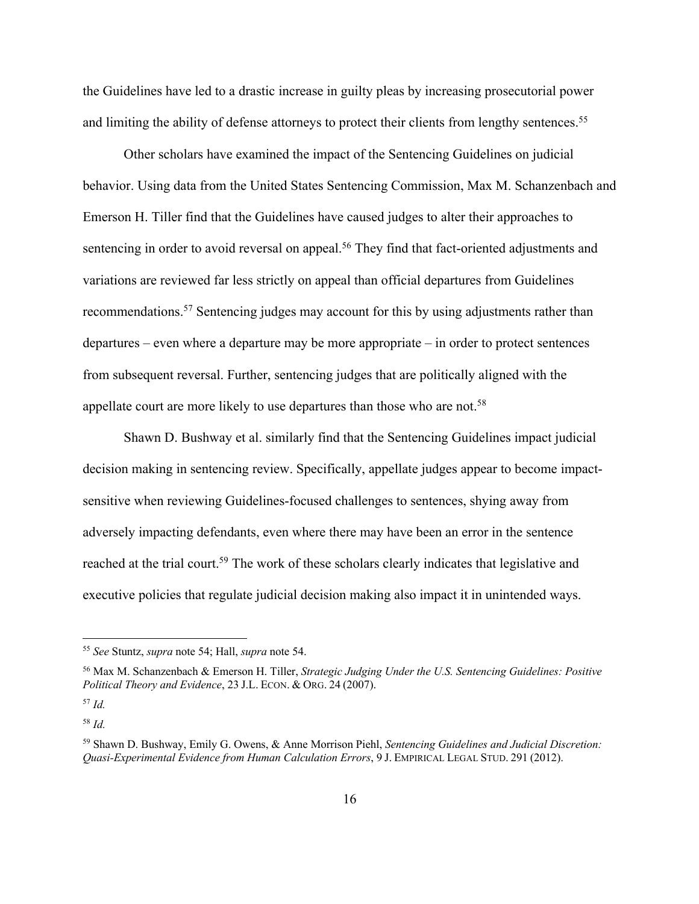the Guidelines have led to a drastic increase in guilty pleas by increasing prosecutorial power and limiting the ability of defense attorneys to protect their clients from lengthy sentences.<sup>55</sup>

Other scholars have examined the impact of the Sentencing Guidelines on judicial behavior. Using data from the United States Sentencing Commission, Max M. Schanzenbach and Emerson H. Tiller find that the Guidelines have caused judges to alter their approaches to sentencing in order to avoid reversal on appeal.<sup>56</sup> They find that fact-oriented adjustments and variations are reviewed far less strictly on appeal than official departures from Guidelines recommendations.57 Sentencing judges may account for this by using adjustments rather than departures – even where a departure may be more appropriate – in order to protect sentences from subsequent reversal. Further, sentencing judges that are politically aligned with the appellate court are more likely to use departures than those who are not.<sup>58</sup>

Shawn D. Bushway et al. similarly find that the Sentencing Guidelines impact judicial decision making in sentencing review. Specifically, appellate judges appear to become impactsensitive when reviewing Guidelines-focused challenges to sentences, shying away from adversely impacting defendants, even where there may have been an error in the sentence reached at the trial court.<sup>59</sup> The work of these scholars clearly indicates that legislative and executive policies that regulate judicial decision making also impact it in unintended ways.

<sup>55</sup> *See* Stuntz, *supra* note 54; Hall, *supra* note 54.

<sup>56</sup> Max M. Schanzenbach & Emerson H. Tiller, *Strategic Judging Under the U.S. Sentencing Guidelines: Positive Political Theory and Evidence*, 23 J.L. ECON. & ORG. 24 (2007).

<sup>57</sup> *Id.*

<sup>58</sup> *Id.*

<sup>59</sup> Shawn D. Bushway, Emily G. Owens, & Anne Morrison Piehl, *Sentencing Guidelines and Judicial Discretion: Quasi-Experimental Evidence from Human Calculation Errors*, 9 J. EMPIRICAL LEGAL STUD. 291 (2012).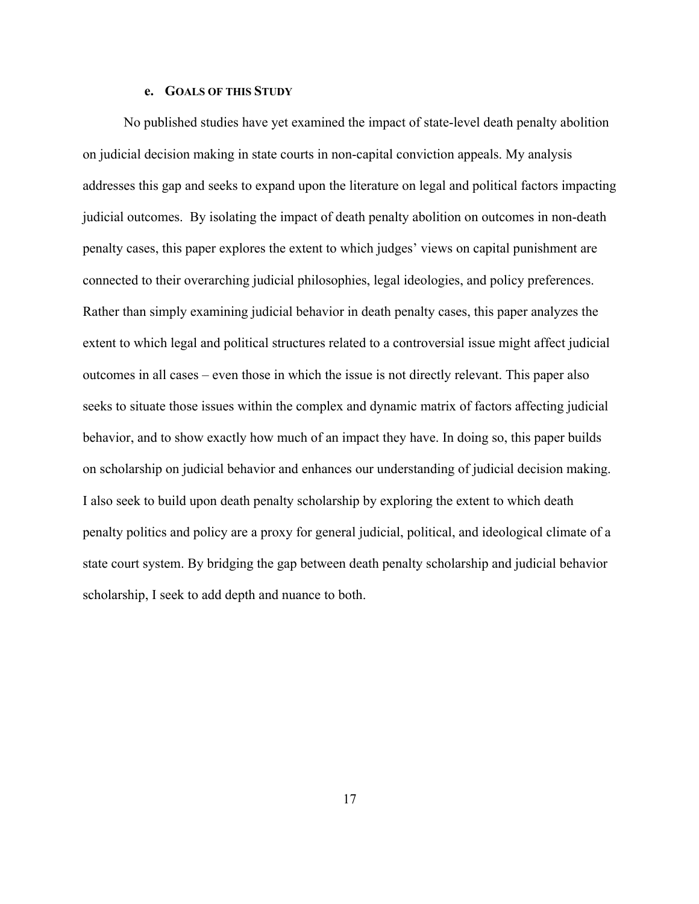## **e. GOALS OF THIS STUDY**

No published studies have yet examined the impact of state-level death penalty abolition on judicial decision making in state courts in non-capital conviction appeals. My analysis addresses this gap and seeks to expand upon the literature on legal and political factors impacting judicial outcomes. By isolating the impact of death penalty abolition on outcomes in non-death penalty cases, this paper explores the extent to which judges' views on capital punishment are connected to their overarching judicial philosophies, legal ideologies, and policy preferences. Rather than simply examining judicial behavior in death penalty cases, this paper analyzes the extent to which legal and political structures related to a controversial issue might affect judicial outcomes in all cases – even those in which the issue is not directly relevant. This paper also seeks to situate those issues within the complex and dynamic matrix of factors affecting judicial behavior, and to show exactly how much of an impact they have. In doing so, this paper builds on scholarship on judicial behavior and enhances our understanding of judicial decision making. I also seek to build upon death penalty scholarship by exploring the extent to which death penalty politics and policy are a proxy for general judicial, political, and ideological climate of a state court system. By bridging the gap between death penalty scholarship and judicial behavior scholarship, I seek to add depth and nuance to both.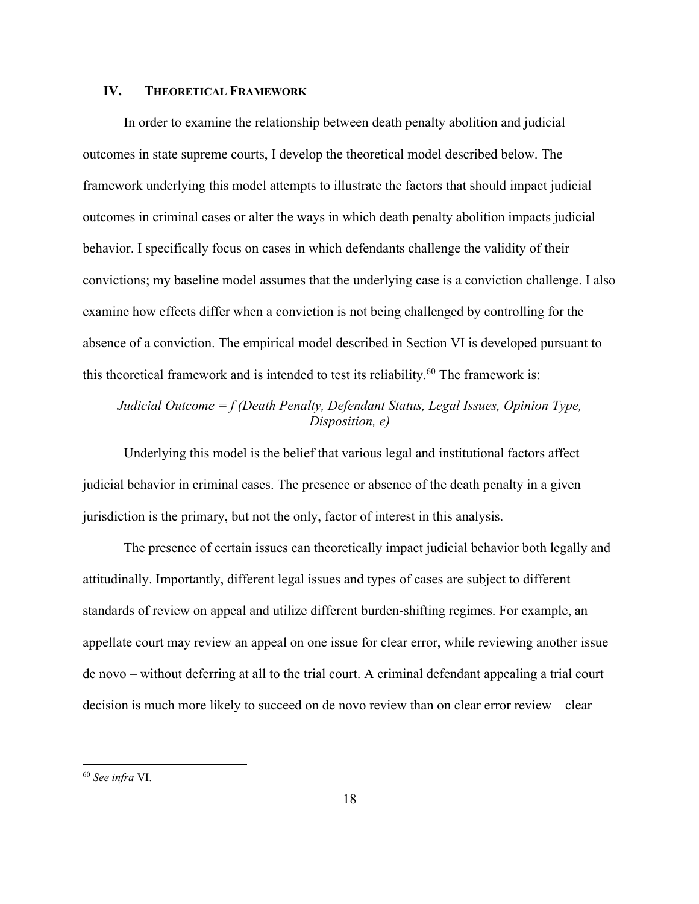#### **IV. THEORETICAL FRAMEWORK**

In order to examine the relationship between death penalty abolition and judicial outcomes in state supreme courts, I develop the theoretical model described below. The framework underlying this model attempts to illustrate the factors that should impact judicial outcomes in criminal cases or alter the ways in which death penalty abolition impacts judicial behavior. I specifically focus on cases in which defendants challenge the validity of their convictions; my baseline model assumes that the underlying case is a conviction challenge. I also examine how effects differ when a conviction is not being challenged by controlling for the absence of a conviction. The empirical model described in Section VI is developed pursuant to this theoretical framework and is intended to test its reliability.<sup>60</sup> The framework is:

# *Judicial Outcome = f (Death Penalty, Defendant Status, Legal Issues, Opinion Type, Disposition, e)*

Underlying this model is the belief that various legal and institutional factors affect judicial behavior in criminal cases. The presence or absence of the death penalty in a given jurisdiction is the primary, but not the only, factor of interest in this analysis.

The presence of certain issues can theoretically impact judicial behavior both legally and attitudinally. Importantly, different legal issues and types of cases are subject to different standards of review on appeal and utilize different burden-shifting regimes. For example, an appellate court may review an appeal on one issue for clear error, while reviewing another issue de novo – without deferring at all to the trial court. A criminal defendant appealing a trial court decision is much more likely to succeed on de novo review than on clear error review – clear

<sup>60</sup> *See infra* VI.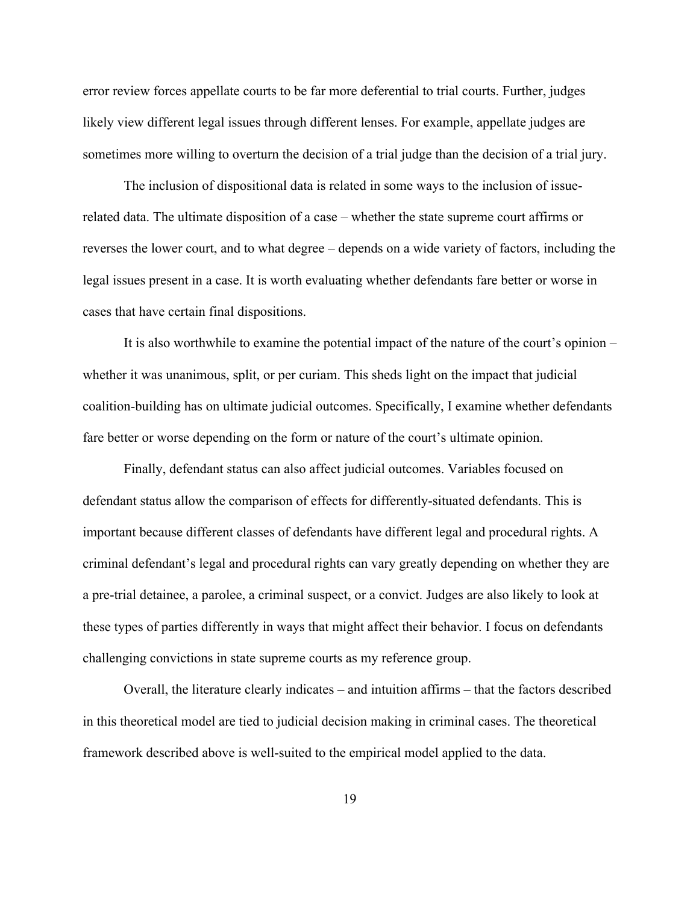error review forces appellate courts to be far more deferential to trial courts. Further, judges likely view different legal issues through different lenses. For example, appellate judges are sometimes more willing to overturn the decision of a trial judge than the decision of a trial jury.

The inclusion of dispositional data is related in some ways to the inclusion of issuerelated data. The ultimate disposition of a case – whether the state supreme court affirms or reverses the lower court, and to what degree – depends on a wide variety of factors, including the legal issues present in a case. It is worth evaluating whether defendants fare better or worse in cases that have certain final dispositions.

It is also worthwhile to examine the potential impact of the nature of the court's opinion – whether it was unanimous, split, or per curiam. This sheds light on the impact that judicial coalition-building has on ultimate judicial outcomes. Specifically, I examine whether defendants fare better or worse depending on the form or nature of the court's ultimate opinion.

Finally, defendant status can also affect judicial outcomes. Variables focused on defendant status allow the comparison of effects for differently-situated defendants. This is important because different classes of defendants have different legal and procedural rights. A criminal defendant's legal and procedural rights can vary greatly depending on whether they are a pre-trial detainee, a parolee, a criminal suspect, or a convict. Judges are also likely to look at these types of parties differently in ways that might affect their behavior. I focus on defendants challenging convictions in state supreme courts as my reference group.

Overall, the literature clearly indicates – and intuition affirms – that the factors described in this theoretical model are tied to judicial decision making in criminal cases. The theoretical framework described above is well-suited to the empirical model applied to the data.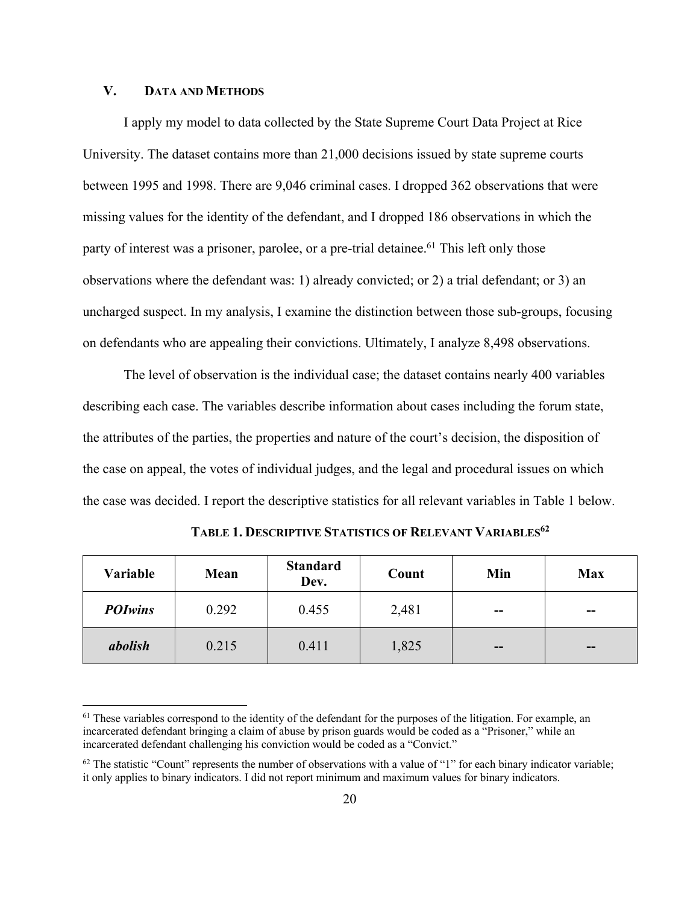#### **V. DATA AND METHODS**

I apply my model to data collected by the State Supreme Court Data Project at Rice University. The dataset contains more than 21,000 decisions issued by state supreme courts between 1995 and 1998. There are 9,046 criminal cases. I dropped 362 observations that were missing values for the identity of the defendant, and I dropped 186 observations in which the party of interest was a prisoner, parolee, or a pre-trial detainee.<sup>61</sup> This left only those observations where the defendant was: 1) already convicted; or 2) a trial defendant; or 3) an uncharged suspect. In my analysis, I examine the distinction between those sub-groups, focusing on defendants who are appealing their convictions. Ultimately, I analyze 8,498 observations.

The level of observation is the individual case; the dataset contains nearly 400 variables describing each case. The variables describe information about cases including the forum state, the attributes of the parties, the properties and nature of the court's decision, the disposition of the case on appeal, the votes of individual judges, and the legal and procedural issues on which the case was decided. I report the descriptive statistics for all relevant variables in Table 1 below.

| Variable<br>Mean |       | <b>Standard</b><br>Dev. | Count | Min   | <b>Max</b> |
|------------------|-------|-------------------------|-------|-------|------------|
| <b>POIwins</b>   | 0.292 | 0.455                   | 2,481 | --    | --         |
| abolish          | 0.215 | 0.411                   | 1,825 | $- -$ | $-$        |

**TABLE 1. DESCRIPTIVE STATISTICS OF RELEVANT VARIABLES62**

 $<sup>61</sup>$  These variables correspond to the identity of the defendant for the purposes of the litigation. For example, an</sup> incarcerated defendant bringing a claim of abuse by prison guards would be coded as a "Prisoner," while an incarcerated defendant challenging his conviction would be coded as a "Convict."

 $62$  The statistic "Count" represents the number of observations with a value of "1" for each binary indicator variable; it only applies to binary indicators. I did not report minimum and maximum values for binary indicators.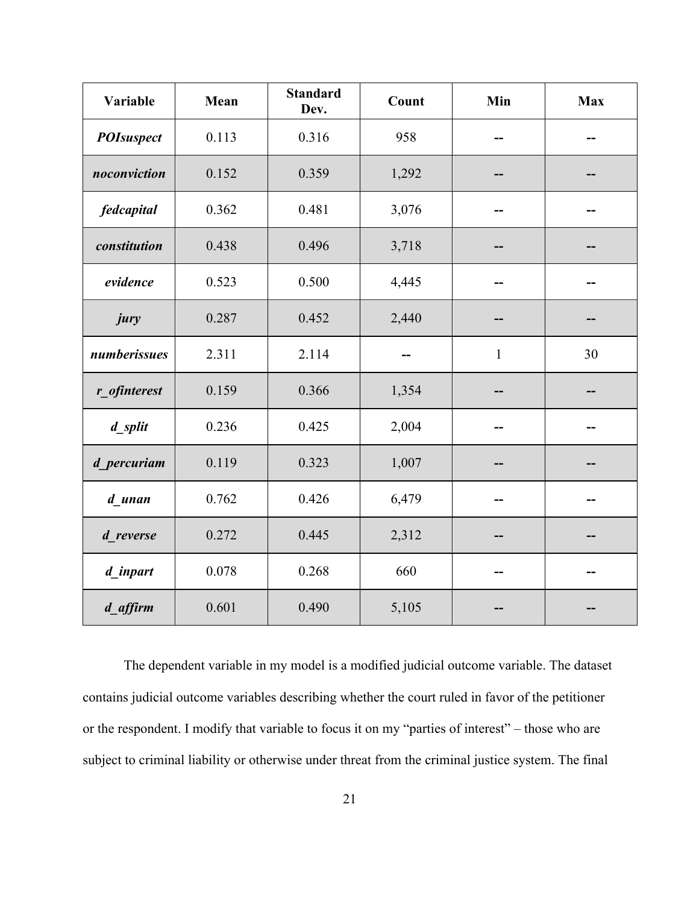| Variable<br>Mean<br>Dev. |                | <b>Standard</b> | Count | Min          | <b>Max</b> |
|--------------------------|----------------|-----------------|-------|--------------|------------|
| <b>POIsuspect</b>        | 0.113          | 0.316           | 958   |              |            |
| noconviction             | 0.152          | 0.359           | 1,292 |              |            |
| fedcapital               | 0.362          | 0.481           | 3,076 |              |            |
| constitution             | 0.438          | 0.496           | 3,718 |              |            |
| evidence                 | 0.523          | 0.500           | 4,445 |              |            |
| jury                     | 0.287          | 0.452           | 2,440 |              |            |
| numberissues             | 2.311          | 2.114           |       | $\mathbf{1}$ | 30         |
| r ofinterest             | 0.159          | 0.366           | 1,354 |              |            |
| 0.236<br>d_split         |                | 0.425           | 2,004 |              |            |
| d_percuriam              | 0.119          | 0.323           | 1,007 |              |            |
| 0.762<br>d unan          |                | 0.426           | 6,479 |              |            |
| 0.272<br>d reverse       |                | 0.445           | 2,312 |              |            |
| d_inpart                 | 0.268<br>0.078 |                 | 660   |              |            |
| d_affirm                 | 0.601          | 0.490           | 5,105 |              |            |

The dependent variable in my model is a modified judicial outcome variable. The dataset contains judicial outcome variables describing whether the court ruled in favor of the petitioner or the respondent. I modify that variable to focus it on my "parties of interest" – those who are subject to criminal liability or otherwise under threat from the criminal justice system. The final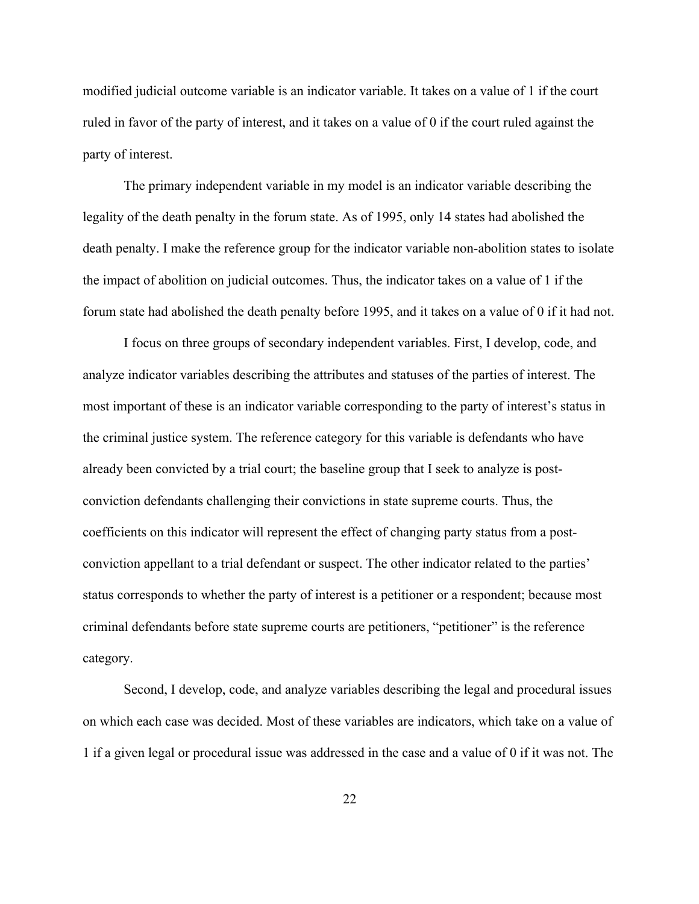modified judicial outcome variable is an indicator variable. It takes on a value of 1 if the court ruled in favor of the party of interest, and it takes on a value of 0 if the court ruled against the party of interest.

The primary independent variable in my model is an indicator variable describing the legality of the death penalty in the forum state. As of 1995, only 14 states had abolished the death penalty. I make the reference group for the indicator variable non-abolition states to isolate the impact of abolition on judicial outcomes. Thus, the indicator takes on a value of 1 if the forum state had abolished the death penalty before 1995, and it takes on a value of 0 if it had not.

I focus on three groups of secondary independent variables. First, I develop, code, and analyze indicator variables describing the attributes and statuses of the parties of interest. The most important of these is an indicator variable corresponding to the party of interest's status in the criminal justice system. The reference category for this variable is defendants who have already been convicted by a trial court; the baseline group that I seek to analyze is postconviction defendants challenging their convictions in state supreme courts. Thus, the coefficients on this indicator will represent the effect of changing party status from a postconviction appellant to a trial defendant or suspect. The other indicator related to the parties' status corresponds to whether the party of interest is a petitioner or a respondent; because most criminal defendants before state supreme courts are petitioners, "petitioner" is the reference category.

Second, I develop, code, and analyze variables describing the legal and procedural issues on which each case was decided. Most of these variables are indicators, which take on a value of 1 if a given legal or procedural issue was addressed in the case and a value of 0 if it was not. The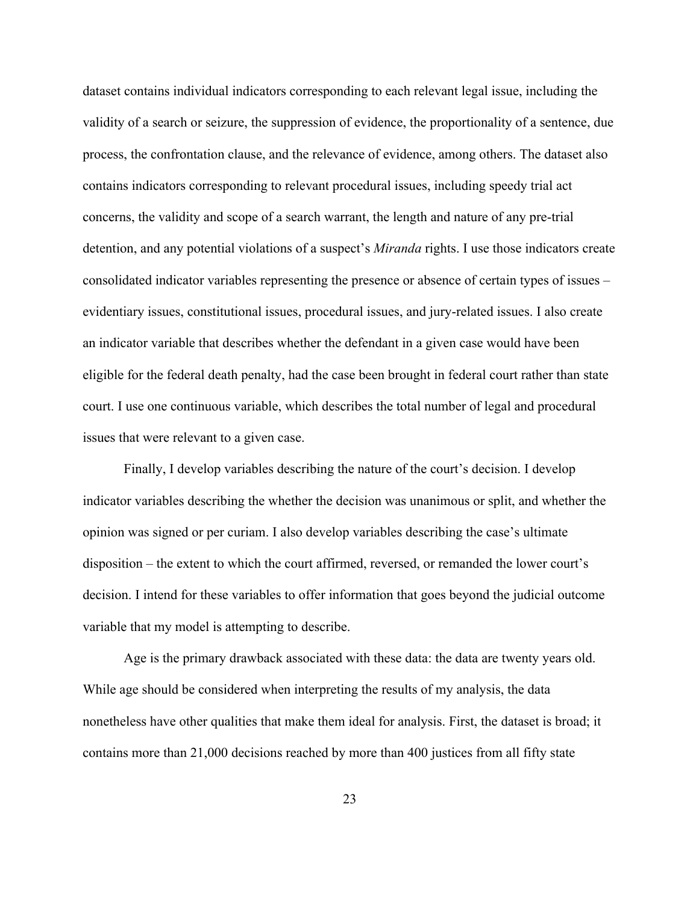dataset contains individual indicators corresponding to each relevant legal issue, including the validity of a search or seizure, the suppression of evidence, the proportionality of a sentence, due process, the confrontation clause, and the relevance of evidence, among others. The dataset also contains indicators corresponding to relevant procedural issues, including speedy trial act concerns, the validity and scope of a search warrant, the length and nature of any pre-trial detention, and any potential violations of a suspect's *Miranda* rights. I use those indicators create consolidated indicator variables representing the presence or absence of certain types of issues – evidentiary issues, constitutional issues, procedural issues, and jury-related issues. I also create an indicator variable that describes whether the defendant in a given case would have been eligible for the federal death penalty, had the case been brought in federal court rather than state court. I use one continuous variable, which describes the total number of legal and procedural issues that were relevant to a given case.

Finally, I develop variables describing the nature of the court's decision. I develop indicator variables describing the whether the decision was unanimous or split, and whether the opinion was signed or per curiam. I also develop variables describing the case's ultimate disposition – the extent to which the court affirmed, reversed, or remanded the lower court's decision. I intend for these variables to offer information that goes beyond the judicial outcome variable that my model is attempting to describe.

Age is the primary drawback associated with these data: the data are twenty years old. While age should be considered when interpreting the results of my analysis, the data nonetheless have other qualities that make them ideal for analysis. First, the dataset is broad; it contains more than 21,000 decisions reached by more than 400 justices from all fifty state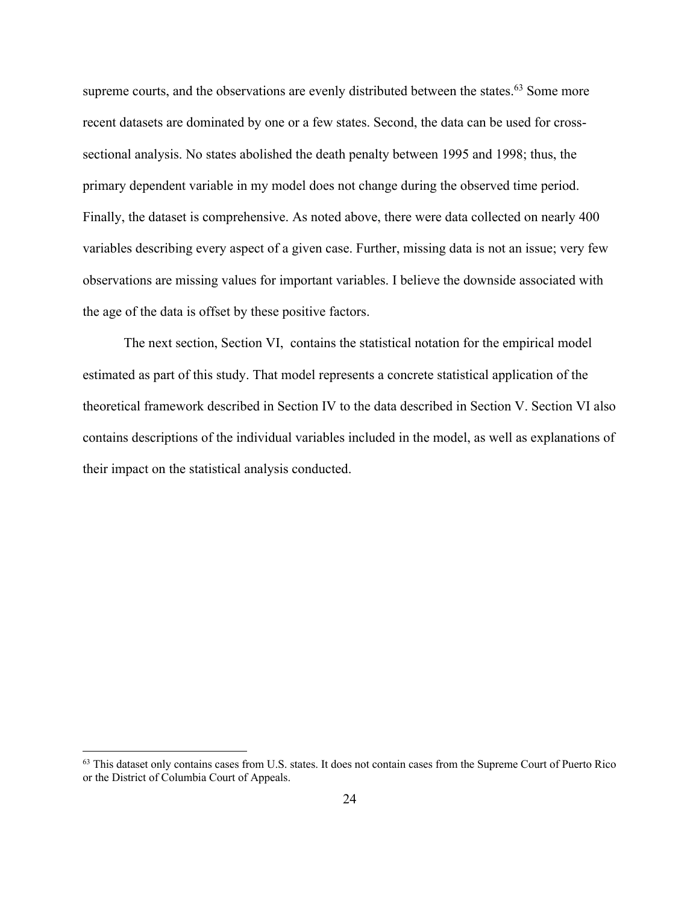supreme courts, and the observations are evenly distributed between the states.<sup>63</sup> Some more recent datasets are dominated by one or a few states. Second, the data can be used for crosssectional analysis. No states abolished the death penalty between 1995 and 1998; thus, the primary dependent variable in my model does not change during the observed time period. Finally, the dataset is comprehensive. As noted above, there were data collected on nearly 400 variables describing every aspect of a given case. Further, missing data is not an issue; very few observations are missing values for important variables. I believe the downside associated with the age of the data is offset by these positive factors.

The next section, Section VI, contains the statistical notation for the empirical model estimated as part of this study. That model represents a concrete statistical application of the theoretical framework described in Section IV to the data described in Section V. Section VI also contains descriptions of the individual variables included in the model, as well as explanations of their impact on the statistical analysis conducted.

<sup>&</sup>lt;sup>63</sup> This dataset only contains cases from U.S. states. It does not contain cases from the Supreme Court of Puerto Rico or the District of Columbia Court of Appeals.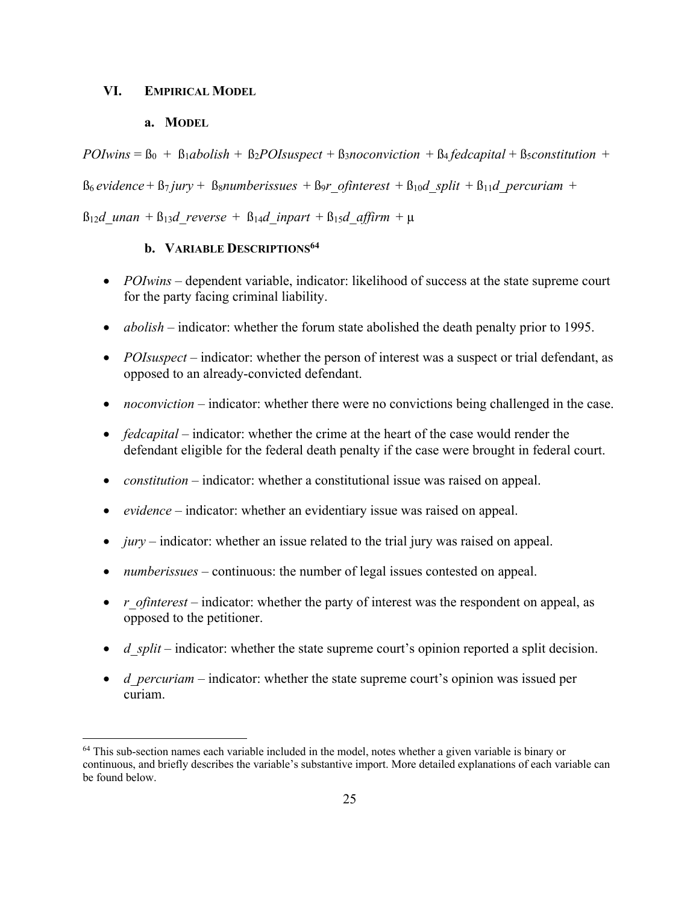#### **VI. EMPIRICAL MODEL**

## **a. MODEL**

 $POI wins = \beta_0 + \beta_1 a$ *bolish* +  $\beta_2 POIsuspect + \beta_3 nocomviction + \beta_4 federal + \beta_5$ *constitution* +

 $B_6$  *evidence* +  $B_7$  *jury* +  $B_8$ *numberissues* +  $B_9$ *r ofinterest* +  $B_{10}$ *d split* +  $B_{11}$ *d percuriam* +

 $B_{12}d$  unan +  $B_{13}d$  reverse +  $B_{14}d$  inpart +  $B_{15}d$  affirm +  $\mu$ 

# **b. VARIABLE DESCRIPTIONS64**

- *POIwins* dependent variable, indicator: likelihood of success at the state supreme court for the party facing criminal liability.
- *abolish* indicator: whether the forum state abolished the death penalty prior to 1995.
- *POIsuspect* indicator: whether the person of interest was a suspect or trial defendant, as opposed to an already-convicted defendant.
- *noconviction* indicator: whether there were no convictions being challenged in the case.
- *fedcapital* indicator: whether the crime at the heart of the case would render the defendant eligible for the federal death penalty if the case were brought in federal court.
- *constitution* indicator: whether a constitutional issue was raised on appeal.
- *evidence* indicator: whether an evidentiary issue was raised on appeal.
- *jury* indicator: whether an issue related to the trial jury was raised on appeal.
- *numberissues* continuous: the number of legal issues contested on appeal.
- *r\_ofinterest* indicator: whether the party of interest was the respondent on appeal, as opposed to the petitioner.
- *d split* indicator: whether the state supreme court's opinion reported a split decision.
- *d\_percuriam* indicator: whether the state supreme court's opinion was issued per curiam.

<sup>&</sup>lt;sup>64</sup> This sub-section names each variable included in the model, notes whether a given variable is binary or continuous, and briefly describes the variable's substantive import. More detailed explanations of each variable can be found below.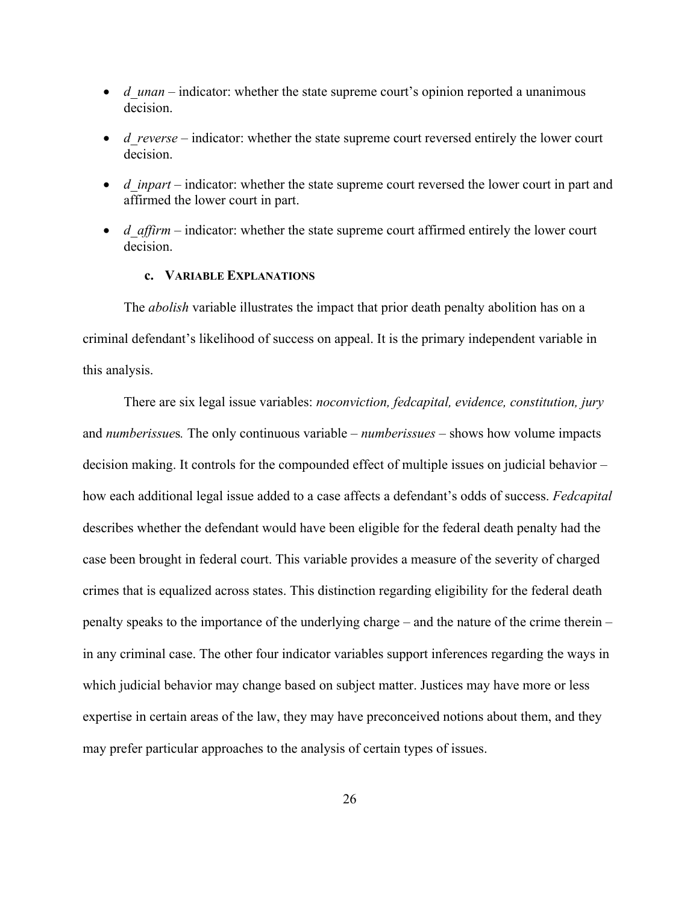- *d* unan indicator: whether the state supreme court's opinion reported a unanimous decision.
- *d\_reverse* indicator: whether the state supreme court reversed entirely the lower court decision.
- *d\_inpart* indicator: whether the state supreme court reversed the lower court in part and affirmed the lower court in part.
- *d affirm* indicator: whether the state supreme court affirmed entirely the lower court decision.

# **c. VARIABLE EXPLANATIONS**

The *abolish* variable illustrates the impact that prior death penalty abolition has on a criminal defendant's likelihood of success on appeal. It is the primary independent variable in this analysis.

There are six legal issue variables: *noconviction, fedcapital, evidence, constitution, jury*  and *numberissue*s*.* The only continuous variable – *numberissues* – shows how volume impacts decision making. It controls for the compounded effect of multiple issues on judicial behavior – how each additional legal issue added to a case affects a defendant's odds of success. *Fedcapital* describes whether the defendant would have been eligible for the federal death penalty had the case been brought in federal court. This variable provides a measure of the severity of charged crimes that is equalized across states. This distinction regarding eligibility for the federal death penalty speaks to the importance of the underlying charge – and the nature of the crime therein – in any criminal case. The other four indicator variables support inferences regarding the ways in which judicial behavior may change based on subject matter. Justices may have more or less expertise in certain areas of the law, they may have preconceived notions about them, and they may prefer particular approaches to the analysis of certain types of issues.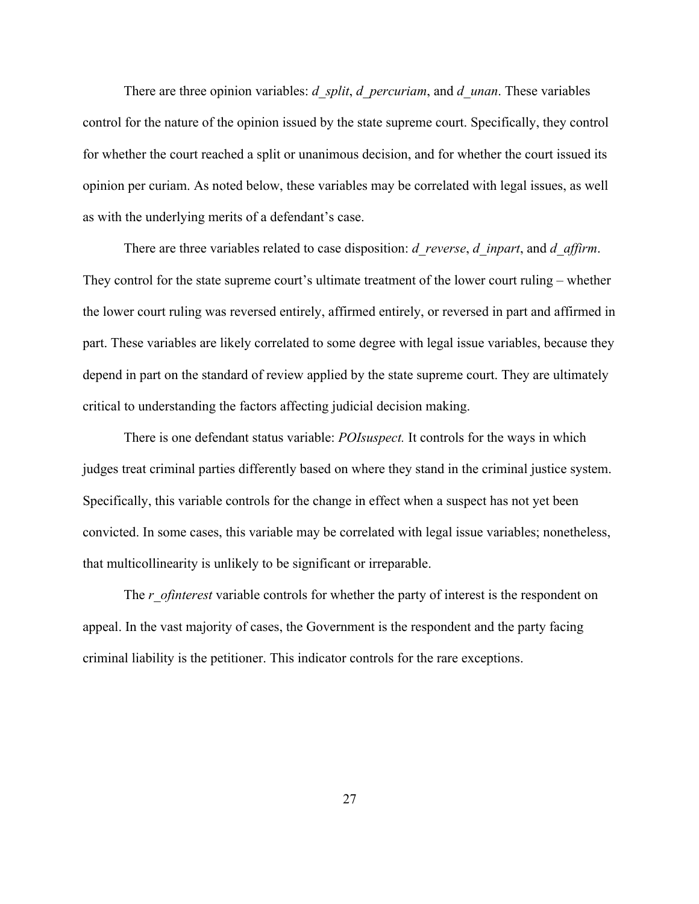There are three opinion variables: *d\_split*, *d\_percuriam*, and *d\_unan*. These variables control for the nature of the opinion issued by the state supreme court. Specifically, they control for whether the court reached a split or unanimous decision, and for whether the court issued its opinion per curiam. As noted below, these variables may be correlated with legal issues, as well as with the underlying merits of a defendant's case.

There are three variables related to case disposition: *d\_reverse*, *d\_inpart*, and *d\_affirm*. They control for the state supreme court's ultimate treatment of the lower court ruling – whether the lower court ruling was reversed entirely, affirmed entirely, or reversed in part and affirmed in part. These variables are likely correlated to some degree with legal issue variables, because they depend in part on the standard of review applied by the state supreme court. They are ultimately critical to understanding the factors affecting judicial decision making.

There is one defendant status variable: *POIsuspect.* It controls for the ways in which judges treat criminal parties differently based on where they stand in the criminal justice system. Specifically, this variable controls for the change in effect when a suspect has not yet been convicted. In some cases, this variable may be correlated with legal issue variables; nonetheless, that multicollinearity is unlikely to be significant or irreparable.

The *r\_ofinterest* variable controls for whether the party of interest is the respondent on appeal. In the vast majority of cases, the Government is the respondent and the party facing criminal liability is the petitioner. This indicator controls for the rare exceptions.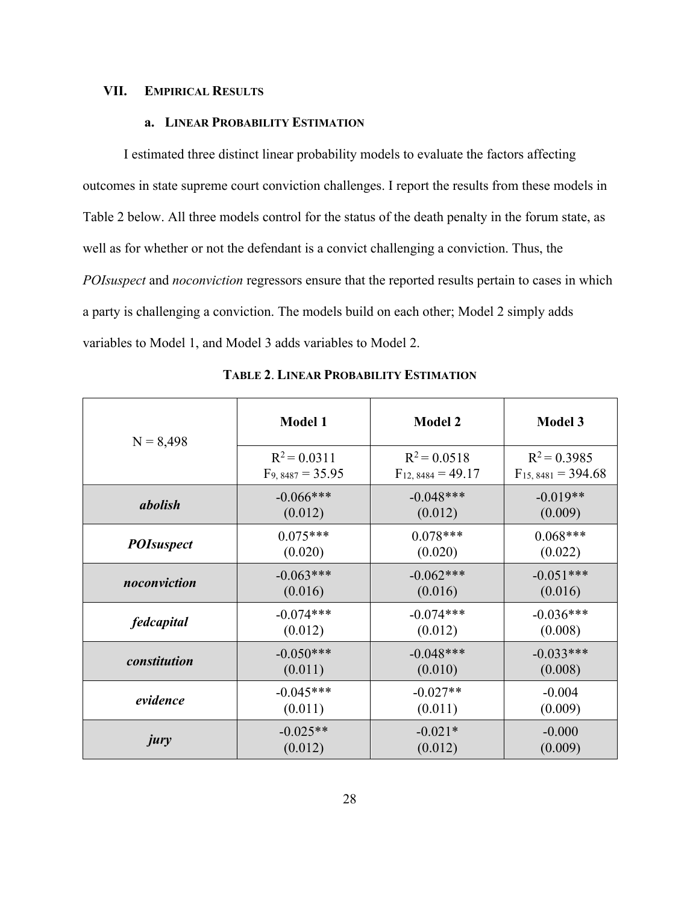#### **VII. EMPIRICAL RESULTS**

# **a. LINEAR PROBABILITY ESTIMATION**

I estimated three distinct linear probability models to evaluate the factors affecting outcomes in state supreme court conviction challenges. I report the results from these models in Table 2 below. All three models control for the status of the death penalty in the forum state, as well as for whether or not the defendant is a convict challenging a conviction. Thus, the *POIsuspect* and *noconviction* regressors ensure that the reported results pertain to cases in which a party is challenging a conviction. The models build on each other; Model 2 simply adds variables to Model 1, and Model 3 adds variables to Model 2.

| $N = 8,498$       | <b>Model 1</b>       | <b>Model 2</b>        | <b>Model 3</b>         |
|-------------------|----------------------|-----------------------|------------------------|
|                   | $R^2 = 0.0311$       | $R^2 = 0.0518$        | $R^2 = 0.3985$         |
|                   | $F_{9,8487} = 35.95$ | $F_{12,8484} = 49.17$ | $F_{15,8481} = 394.68$ |
| abolish           | $-0.066***$          | $-0.048***$           | $-0.019**$             |
|                   | (0.012)              | (0.012)               | (0.009)                |
| <b>POIsuspect</b> | $0.075***$           | $0.078***$            | $0.068***$             |
|                   | (0.020)              | (0.020)               | (0.022)                |
| noconviction      | $-0.063***$          | $-0.062***$           | $-0.051***$            |
|                   | (0.016)              | (0.016)               | (0.016)                |
| <i>fedcapital</i> | $-0.074***$          | $-0.074***$           | $-0.036***$            |
|                   | (0.012)              | (0.012)               | (0.008)                |
| constitution      | $-0.050***$          | $-0.048***$           | $-0.033***$            |
|                   | (0.011)              | (0.010)               | (0.008)                |
| evidence          | $-0.045***$          | $-0.027**$            | $-0.004$               |
|                   | (0.011)              | (0.011)               | (0.009)                |
| jury              | $-0.025**$           | $-0.021*$             | $-0.000$               |
|                   | (0.012)              | (0.012)               | (0.009)                |

**TABLE 2**. **LINEAR PROBABILITY ESTIMATION**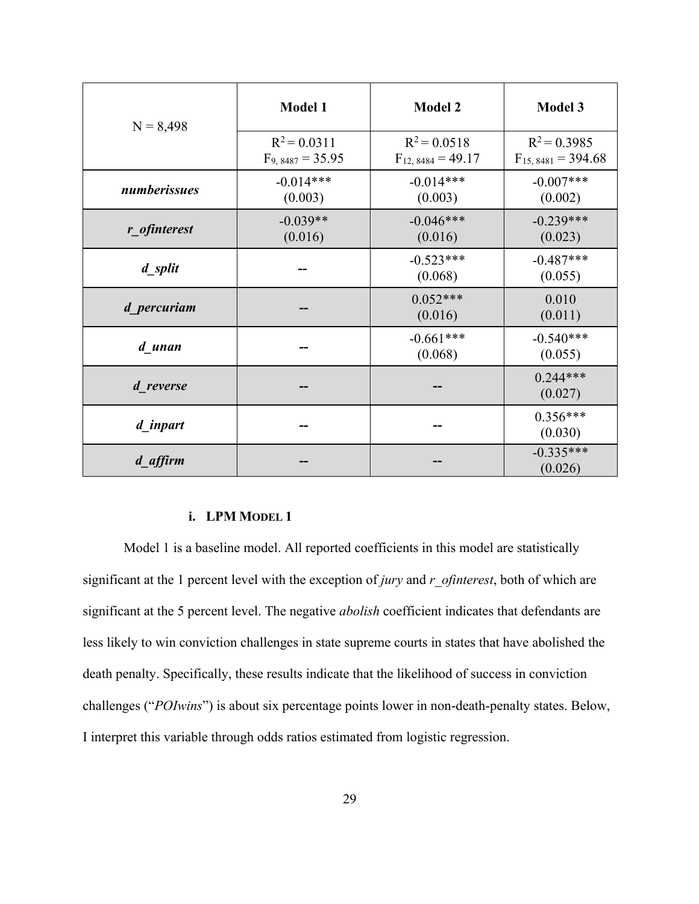| $N = 8,498$                            | Model 1                                | <b>Model 2</b>                           | <b>Model 3</b>                           |  |
|----------------------------------------|----------------------------------------|------------------------------------------|------------------------------------------|--|
|                                        | $R^2 = 0.0311$<br>$F_{9,8487} = 35.95$ | $R^2 = 0.0518$<br>$F_{12, 8484} = 49.17$ | $R^2 = 0.3985$<br>$F_{15,8481} = 394.68$ |  |
| $-0.014***$<br>numberissues<br>(0.003) |                                        | $-0.014***$<br>(0.003)                   | $-0.007***$<br>(0.002)                   |  |
| r_ofinterest                           | $-0.039**$<br>(0.016)                  | $-0.046***$<br>(0.016)                   | $-0.239***$<br>(0.023)                   |  |
| d split                                |                                        | $-0.523***$<br>(0.068)                   | $-0.487***$<br>(0.055)                   |  |
| d percuriam                            |                                        | $0.052***$<br>(0.016)                    | 0.010<br>(0.011)                         |  |
| d unan                                 |                                        | $-0.661***$<br>(0.068)                   | $-0.540***$<br>(0.055)                   |  |
| d reverse                              |                                        |                                          | $0.244***$<br>(0.027)                    |  |
| d inpart                               |                                        |                                          | $0.356***$<br>(0.030)                    |  |
| d_affirm                               |                                        |                                          | $-0.335***$<br>(0.026)                   |  |

# **i. LPM MODEL 1**

Model 1 is a baseline model. All reported coefficients in this model are statistically significant at the 1 percent level with the exception of *jury* and *r\_ofinterest*, both of which are significant at the 5 percent level. The negative *abolish* coefficient indicates that defendants are less likely to win conviction challenges in state supreme courts in states that have abolished the death penalty. Specifically, these results indicate that the likelihood of success in conviction challenges ("*POIwins*") is about six percentage points lower in non-death-penalty states. Below, I interpret this variable through odds ratios estimated from logistic regression.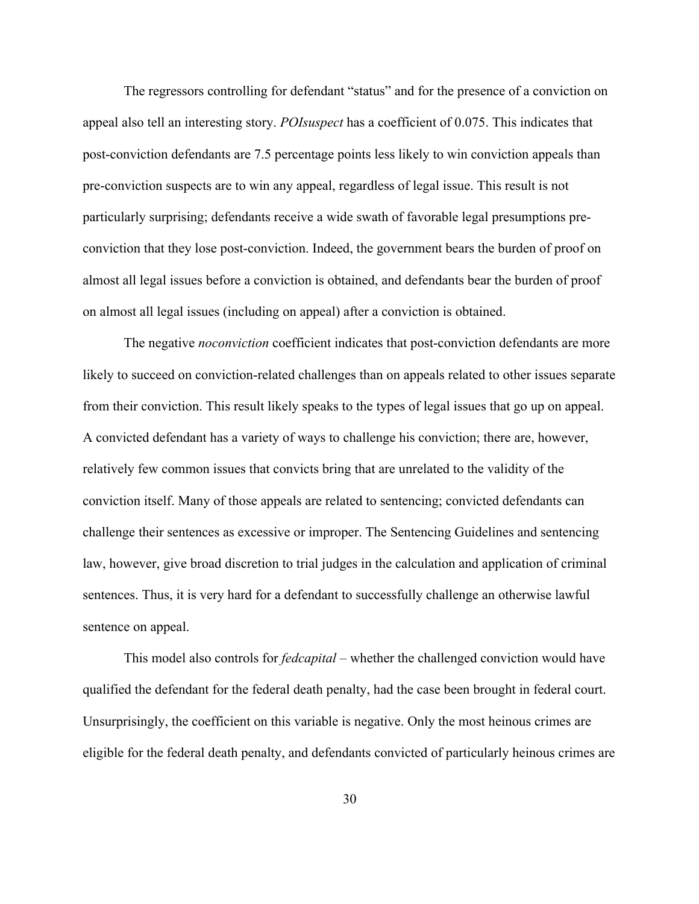The regressors controlling for defendant "status" and for the presence of a conviction on appeal also tell an interesting story. *POIsuspect* has a coefficient of 0.075. This indicates that post-conviction defendants are 7.5 percentage points less likely to win conviction appeals than pre-conviction suspects are to win any appeal, regardless of legal issue. This result is not particularly surprising; defendants receive a wide swath of favorable legal presumptions preconviction that they lose post-conviction. Indeed, the government bears the burden of proof on almost all legal issues before a conviction is obtained, and defendants bear the burden of proof on almost all legal issues (including on appeal) after a conviction is obtained.

The negative *noconviction* coefficient indicates that post-conviction defendants are more likely to succeed on conviction-related challenges than on appeals related to other issues separate from their conviction. This result likely speaks to the types of legal issues that go up on appeal. A convicted defendant has a variety of ways to challenge his conviction; there are, however, relatively few common issues that convicts bring that are unrelated to the validity of the conviction itself. Many of those appeals are related to sentencing; convicted defendants can challenge their sentences as excessive or improper. The Sentencing Guidelines and sentencing law, however, give broad discretion to trial judges in the calculation and application of criminal sentences. Thus, it is very hard for a defendant to successfully challenge an otherwise lawful sentence on appeal.

This model also controls for *fedcapital* – whether the challenged conviction would have qualified the defendant for the federal death penalty, had the case been brought in federal court. Unsurprisingly, the coefficient on this variable is negative. Only the most heinous crimes are eligible for the federal death penalty, and defendants convicted of particularly heinous crimes are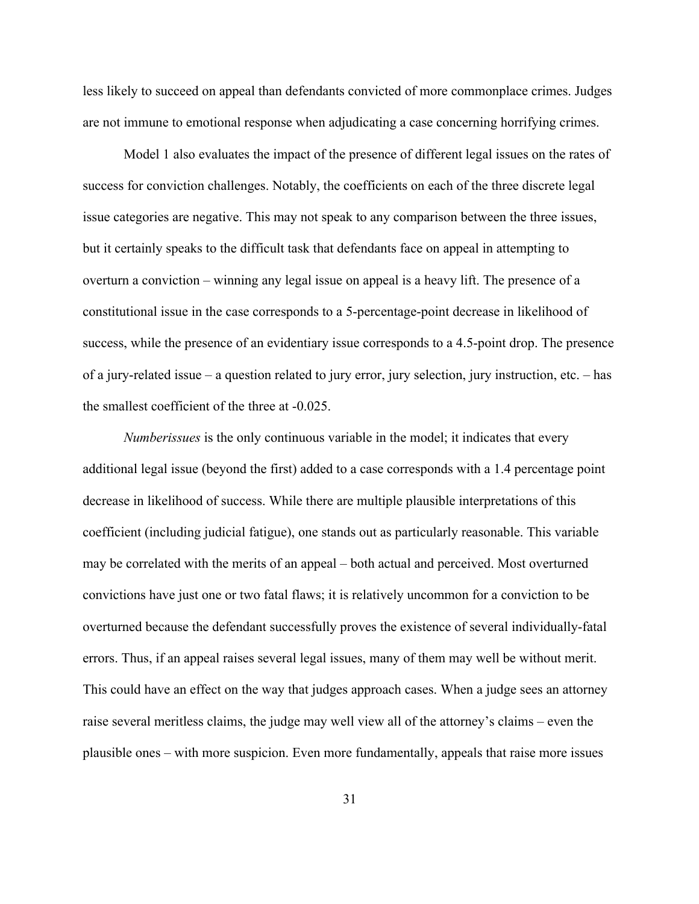less likely to succeed on appeal than defendants convicted of more commonplace crimes. Judges are not immune to emotional response when adjudicating a case concerning horrifying crimes.

Model 1 also evaluates the impact of the presence of different legal issues on the rates of success for conviction challenges. Notably, the coefficients on each of the three discrete legal issue categories are negative. This may not speak to any comparison between the three issues, but it certainly speaks to the difficult task that defendants face on appeal in attempting to overturn a conviction – winning any legal issue on appeal is a heavy lift. The presence of a constitutional issue in the case corresponds to a 5-percentage-point decrease in likelihood of success, while the presence of an evidentiary issue corresponds to a 4.5-point drop. The presence of a jury-related issue – a question related to jury error, jury selection, jury instruction, etc. – has the smallest coefficient of the three at -0.025.

*Numberissues* is the only continuous variable in the model; it indicates that every additional legal issue (beyond the first) added to a case corresponds with a 1.4 percentage point decrease in likelihood of success. While there are multiple plausible interpretations of this coefficient (including judicial fatigue), one stands out as particularly reasonable. This variable may be correlated with the merits of an appeal – both actual and perceived. Most overturned convictions have just one or two fatal flaws; it is relatively uncommon for a conviction to be overturned because the defendant successfully proves the existence of several individually-fatal errors. Thus, if an appeal raises several legal issues, many of them may well be without merit. This could have an effect on the way that judges approach cases. When a judge sees an attorney raise several meritless claims, the judge may well view all of the attorney's claims – even the plausible ones – with more suspicion. Even more fundamentally, appeals that raise more issues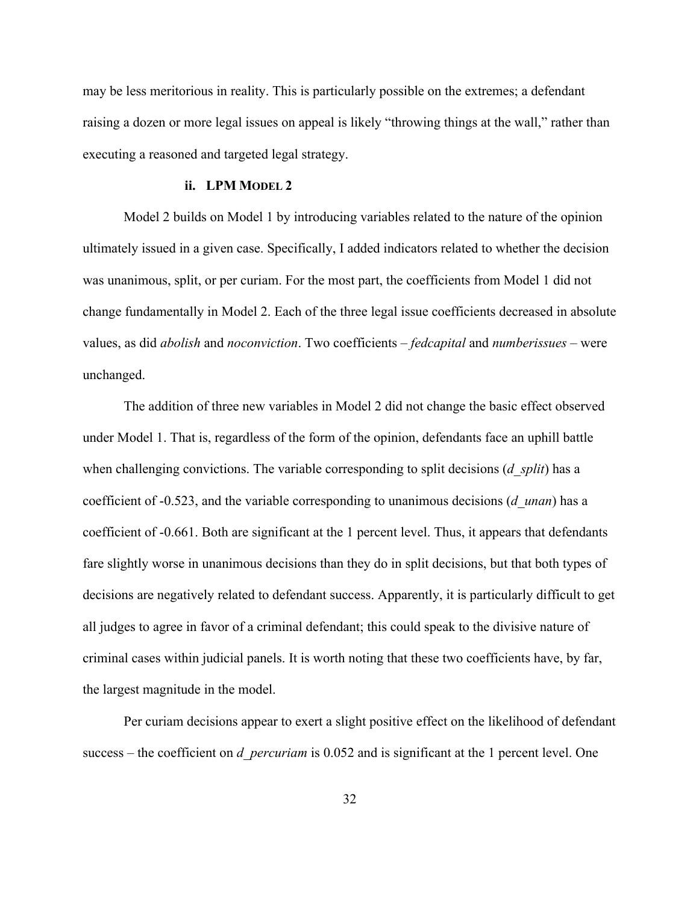may be less meritorious in reality. This is particularly possible on the extremes; a defendant raising a dozen or more legal issues on appeal is likely "throwing things at the wall," rather than executing a reasoned and targeted legal strategy.

#### **ii. LPM MODEL 2**

Model 2 builds on Model 1 by introducing variables related to the nature of the opinion ultimately issued in a given case. Specifically, I added indicators related to whether the decision was unanimous, split, or per curiam. For the most part, the coefficients from Model 1 did not change fundamentally in Model 2. Each of the three legal issue coefficients decreased in absolute values, as did *abolish* and *noconviction*. Two coefficients – *fedcapital* and *numberissues* – were unchanged.

The addition of three new variables in Model 2 did not change the basic effect observed under Model 1. That is, regardless of the form of the opinion, defendants face an uphill battle when challenging convictions. The variable corresponding to split decisions (*d\_split*) has a coefficient of -0.523, and the variable corresponding to unanimous decisions (*d\_unan*) has a coefficient of -0.661. Both are significant at the 1 percent level. Thus, it appears that defendants fare slightly worse in unanimous decisions than they do in split decisions, but that both types of decisions are negatively related to defendant success. Apparently, it is particularly difficult to get all judges to agree in favor of a criminal defendant; this could speak to the divisive nature of criminal cases within judicial panels. It is worth noting that these two coefficients have, by far, the largest magnitude in the model.

Per curiam decisions appear to exert a slight positive effect on the likelihood of defendant success – the coefficient on *d\_percuriam* is 0.052 and is significant at the 1 percent level. One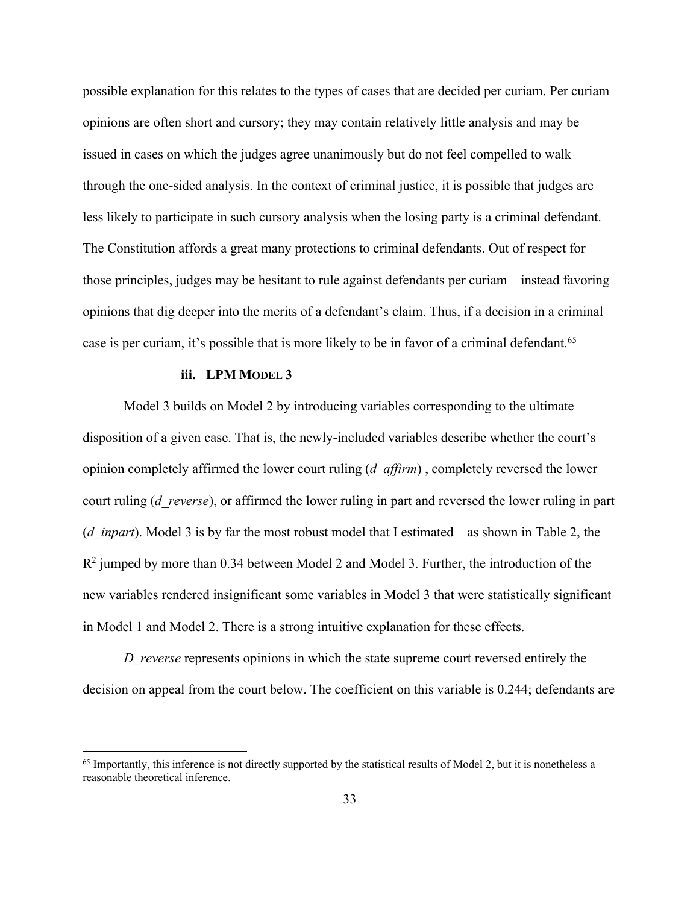possible explanation for this relates to the types of cases that are decided per curiam. Per curiam opinions are often short and cursory; they may contain relatively little analysis and may be issued in cases on which the judges agree unanimously but do not feel compelled to walk through the one-sided analysis. In the context of criminal justice, it is possible that judges are less likely to participate in such cursory analysis when the losing party is a criminal defendant. The Constitution affords a great many protections to criminal defendants. Out of respect for those principles, judges may be hesitant to rule against defendants per curiam – instead favoring opinions that dig deeper into the merits of a defendant's claim. Thus, if a decision in a criminal case is per curiam, it's possible that is more likely to be in favor of a criminal defendant.<sup>65</sup>

#### **iii. LPM MODEL 3**

Model 3 builds on Model 2 by introducing variables corresponding to the ultimate disposition of a given case. That is, the newly-included variables describe whether the court's opinion completely affirmed the lower court ruling (*d\_affirm*) , completely reversed the lower court ruling (*d\_reverse*), or affirmed the lower ruling in part and reversed the lower ruling in part (*d\_inpart*). Model 3 is by far the most robust model that I estimated – as shown in Table 2, the  $R<sup>2</sup>$  jumped by more than 0.34 between Model 2 and Model 3. Further, the introduction of the new variables rendered insignificant some variables in Model 3 that were statistically significant in Model 1 and Model 2. There is a strong intuitive explanation for these effects.

*D\_reverse* represents opinions in which the state supreme court reversed entirely the decision on appeal from the court below. The coefficient on this variable is 0.244; defendants are

 $65$  Importantly, this inference is not directly supported by the statistical results of Model 2, but it is nonetheless a reasonable theoretical inference.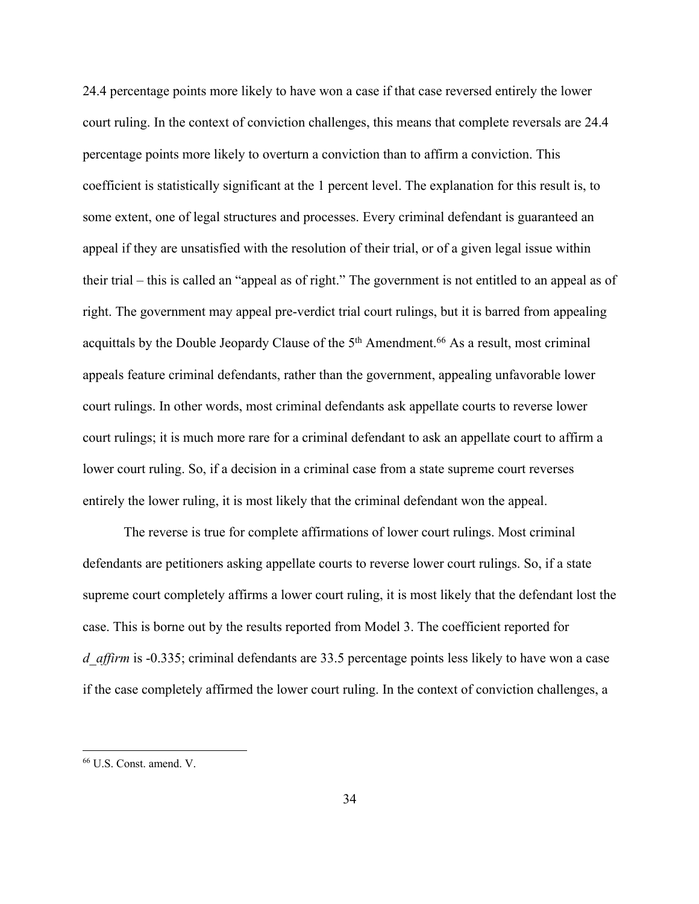24.4 percentage points more likely to have won a case if that case reversed entirely the lower court ruling. In the context of conviction challenges, this means that complete reversals are 24.4 percentage points more likely to overturn a conviction than to affirm a conviction. This coefficient is statistically significant at the 1 percent level. The explanation for this result is, to some extent, one of legal structures and processes. Every criminal defendant is guaranteed an appeal if they are unsatisfied with the resolution of their trial, or of a given legal issue within their trial – this is called an "appeal as of right." The government is not entitled to an appeal as of right. The government may appeal pre-verdict trial court rulings, but it is barred from appealing acquittals by the Double Jeopardy Clause of the  $5<sup>th</sup>$  Amendment.<sup>66</sup> As a result, most criminal appeals feature criminal defendants, rather than the government, appealing unfavorable lower court rulings. In other words, most criminal defendants ask appellate courts to reverse lower court rulings; it is much more rare for a criminal defendant to ask an appellate court to affirm a lower court ruling. So, if a decision in a criminal case from a state supreme court reverses entirely the lower ruling, it is most likely that the criminal defendant won the appeal.

The reverse is true for complete affirmations of lower court rulings. Most criminal defendants are petitioners asking appellate courts to reverse lower court rulings. So, if a state supreme court completely affirms a lower court ruling, it is most likely that the defendant lost the case. This is borne out by the results reported from Model 3. The coefficient reported for *d* affirm is -0.335; criminal defendants are 33.5 percentage points less likely to have won a case if the case completely affirmed the lower court ruling. In the context of conviction challenges, a

<sup>66</sup> U.S. Const. amend. V.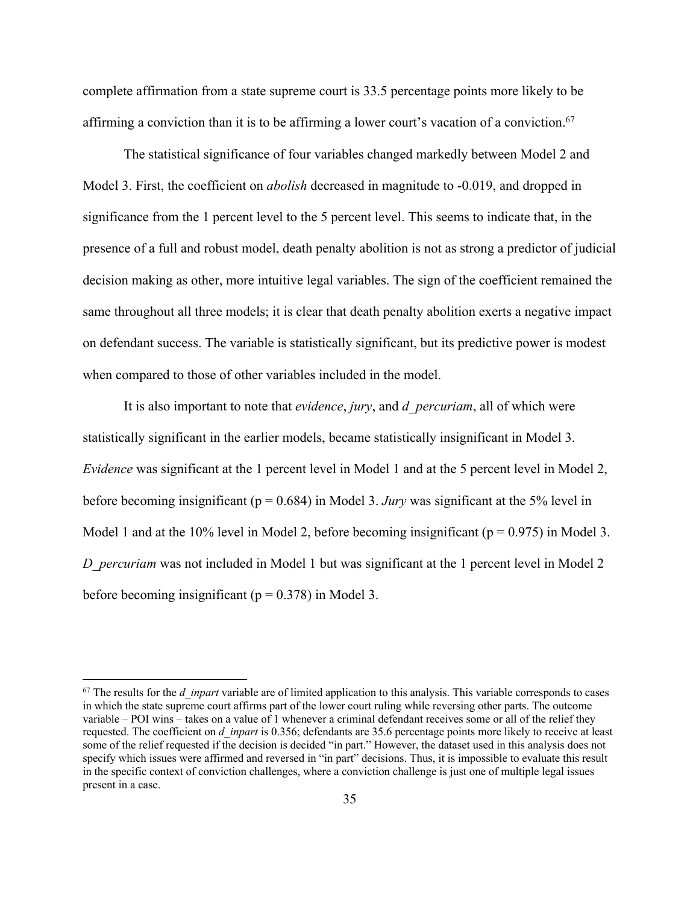complete affirmation from a state supreme court is 33.5 percentage points more likely to be affirming a conviction than it is to be affirming a lower court's vacation of a conviction.<sup>67</sup>

The statistical significance of four variables changed markedly between Model 2 and Model 3. First, the coefficient on *abolish* decreased in magnitude to -0.019, and dropped in significance from the 1 percent level to the 5 percent level. This seems to indicate that, in the presence of a full and robust model, death penalty abolition is not as strong a predictor of judicial decision making as other, more intuitive legal variables. The sign of the coefficient remained the same throughout all three models; it is clear that death penalty abolition exerts a negative impact on defendant success. The variable is statistically significant, but its predictive power is modest when compared to those of other variables included in the model.

It is also important to note that *evidence*, *jury*, and *d\_percuriam*, all of which were statistically significant in the earlier models, became statistically insignificant in Model 3. *Evidence* was significant at the 1 percent level in Model 1 and at the 5 percent level in Model 2, before becoming insignificant (p = 0.684) in Model 3. *Jury* was significant at the 5% level in Model 1 and at the 10% level in Model 2, before becoming insignificant ( $p = 0.975$ ) in Model 3. *D\_percuriam* was not included in Model 1 but was significant at the 1 percent level in Model 2 before becoming insignificant ( $p = 0.378$ ) in Model 3.

<sup>&</sup>lt;sup>67</sup> The results for the *d\_inpart* variable are of limited application to this analysis. This variable corresponds to cases in which the state supreme court affirms part of the lower court ruling while reversing other parts. The outcome variable – POI wins – takes on a value of 1 whenever a criminal defendant receives some or all of the relief they requested. The coefficient on *d\_inpart* is 0.356; defendants are 35.6 percentage points more likely to receive at least some of the relief requested if the decision is decided "in part." However, the dataset used in this analysis does not specify which issues were affirmed and reversed in "in part" decisions. Thus, it is impossible to evaluate this result in the specific context of conviction challenges, where a conviction challenge is just one of multiple legal issues present in a case.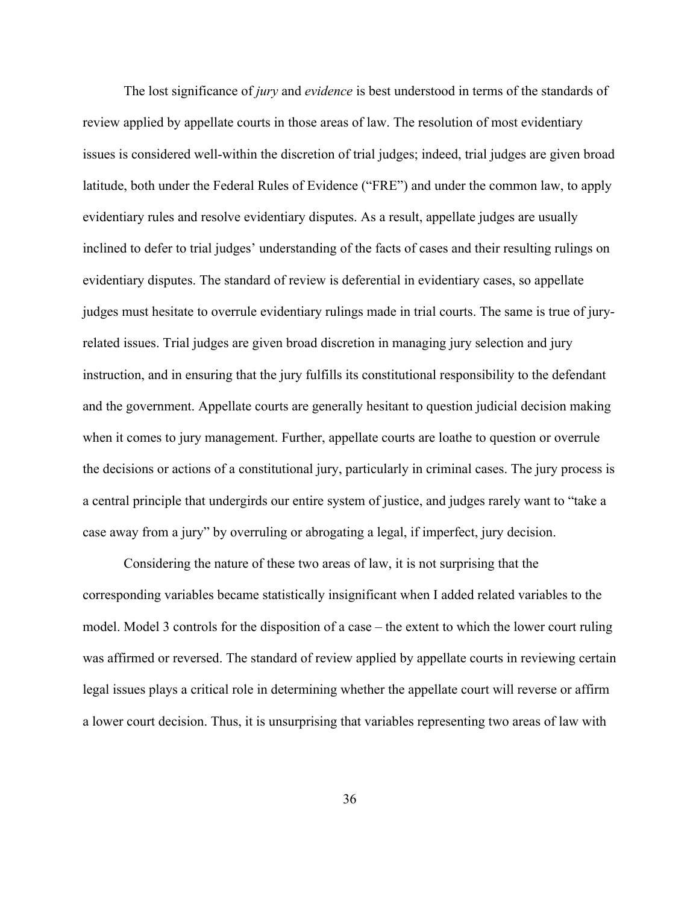The lost significance of *jury* and *evidence* is best understood in terms of the standards of review applied by appellate courts in those areas of law. The resolution of most evidentiary issues is considered well-within the discretion of trial judges; indeed, trial judges are given broad latitude, both under the Federal Rules of Evidence ("FRE") and under the common law, to apply evidentiary rules and resolve evidentiary disputes. As a result, appellate judges are usually inclined to defer to trial judges' understanding of the facts of cases and their resulting rulings on evidentiary disputes. The standard of review is deferential in evidentiary cases, so appellate judges must hesitate to overrule evidentiary rulings made in trial courts. The same is true of juryrelated issues. Trial judges are given broad discretion in managing jury selection and jury instruction, and in ensuring that the jury fulfills its constitutional responsibility to the defendant and the government. Appellate courts are generally hesitant to question judicial decision making when it comes to jury management. Further, appellate courts are loathe to question or overrule the decisions or actions of a constitutional jury, particularly in criminal cases. The jury process is a central principle that undergirds our entire system of justice, and judges rarely want to "take a case away from a jury" by overruling or abrogating a legal, if imperfect, jury decision.

Considering the nature of these two areas of law, it is not surprising that the corresponding variables became statistically insignificant when I added related variables to the model. Model 3 controls for the disposition of a case – the extent to which the lower court ruling was affirmed or reversed. The standard of review applied by appellate courts in reviewing certain legal issues plays a critical role in determining whether the appellate court will reverse or affirm a lower court decision. Thus, it is unsurprising that variables representing two areas of law with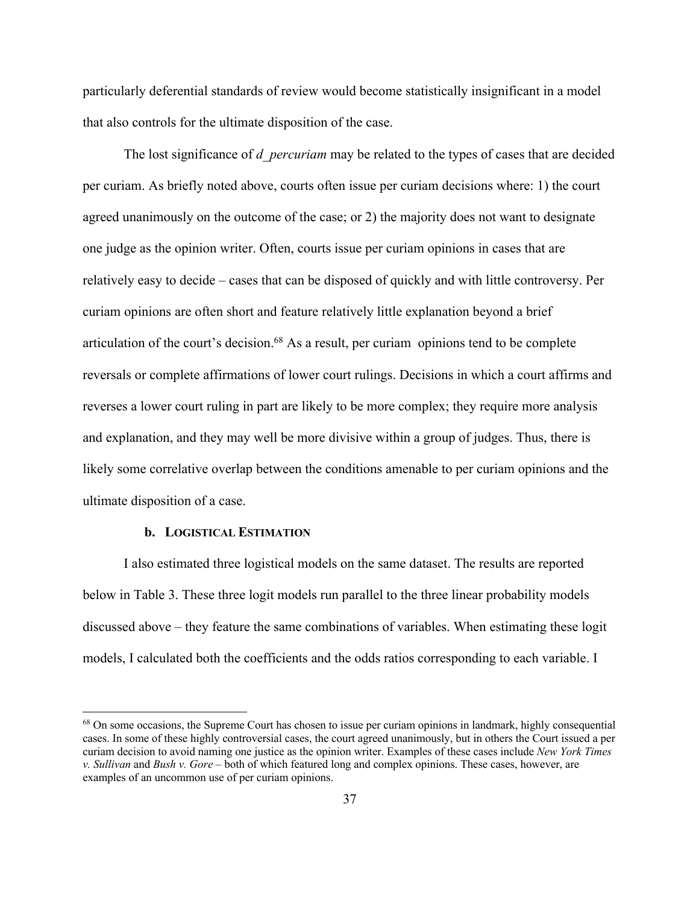particularly deferential standards of review would become statistically insignificant in a model that also controls for the ultimate disposition of the case.

The lost significance of *d\_percuriam* may be related to the types of cases that are decided per curiam. As briefly noted above, courts often issue per curiam decisions where: 1) the court agreed unanimously on the outcome of the case; or 2) the majority does not want to designate one judge as the opinion writer. Often, courts issue per curiam opinions in cases that are relatively easy to decide – cases that can be disposed of quickly and with little controversy. Per curiam opinions are often short and feature relatively little explanation beyond a brief articulation of the court's decision.68 As a result, per curiam opinions tend to be complete reversals or complete affirmations of lower court rulings. Decisions in which a court affirms and reverses a lower court ruling in part are likely to be more complex; they require more analysis and explanation, and they may well be more divisive within a group of judges. Thus, there is likely some correlative overlap between the conditions amenable to per curiam opinions and the ultimate disposition of a case.

#### **b. LOGISTICAL ESTIMATION**

I also estimated three logistical models on the same dataset. The results are reported below in Table 3. These three logit models run parallel to the three linear probability models discussed above – they feature the same combinations of variables. When estimating these logit models, I calculated both the coefficients and the odds ratios corresponding to each variable. I

<sup>&</sup>lt;sup>68</sup> On some occasions, the Supreme Court has chosen to issue per curiam opinions in landmark, highly consequential cases. In some of these highly controversial cases, the court agreed unanimously, but in others the Court issued a per curiam decision to avoid naming one justice as the opinion writer. Examples of these cases include *New York Times v. Sullivan* and *Bush v. Gore* – both of which featured long and complex opinions. These cases, however, are examples of an uncommon use of per curiam opinions.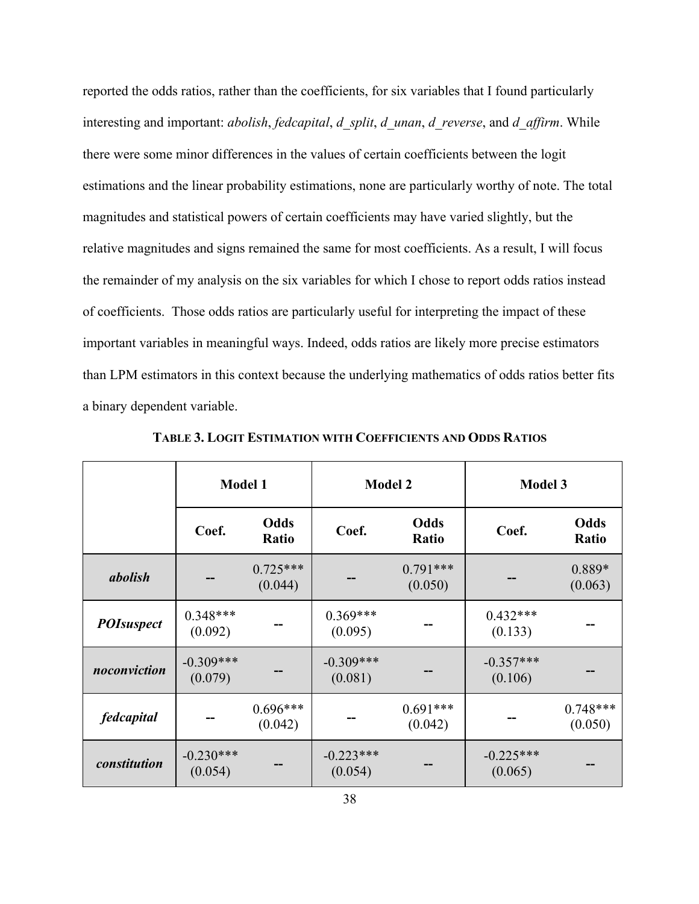reported the odds ratios, rather than the coefficients, for six variables that I found particularly interesting and important: *abolish*, *fedcapital*, *d\_split*, *d\_unan*, *d\_reverse*, and *d\_affirm*. While there were some minor differences in the values of certain coefficients between the logit estimations and the linear probability estimations, none are particularly worthy of note. The total magnitudes and statistical powers of certain coefficients may have varied slightly, but the relative magnitudes and signs remained the same for most coefficients. As a result, I will focus the remainder of my analysis on the six variables for which I chose to report odds ratios instead of coefficients. Those odds ratios are particularly useful for interpreting the impact of these important variables in meaningful ways. Indeed, odds ratios are likely more precise estimators than LPM estimators in this context because the underlying mathematics of odds ratios better fits a binary dependent variable.

|                   | <b>Model 1</b>         |                       | <b>Model 2</b>         |                       | <b>Model 3</b>         |                       |
|-------------------|------------------------|-----------------------|------------------------|-----------------------|------------------------|-----------------------|
|                   | Coef.                  | Odds<br>Ratio         | Coef.                  | Odds<br>Ratio         | Coef.                  | Odds<br>Ratio         |
| abolish           |                        | $0.725***$<br>(0.044) |                        | $0.791***$<br>(0.050) |                        | $0.889*$<br>(0.063)   |
| <b>POIsuspect</b> | $0.348***$<br>(0.092)  |                       | $0.369***$<br>(0.095)  |                       | $0.432***$<br>(0.133)  |                       |
| noconviction      | $-0.309***$<br>(0.079) |                       | $-0.309***$<br>(0.081) |                       | $-0.357***$<br>(0.106) |                       |
| fedcapital        |                        | $0.696***$<br>(0.042) |                        | $0.691***$<br>(0.042) |                        | $0.748***$<br>(0.050) |
| constitution      | $-0.230***$<br>(0.054) |                       | $-0.223***$<br>(0.054) |                       | $-0.225***$<br>(0.065) |                       |

**TABLE 3. LOGIT ESTIMATION WITH COEFFICIENTS AND ODDS RATIOS**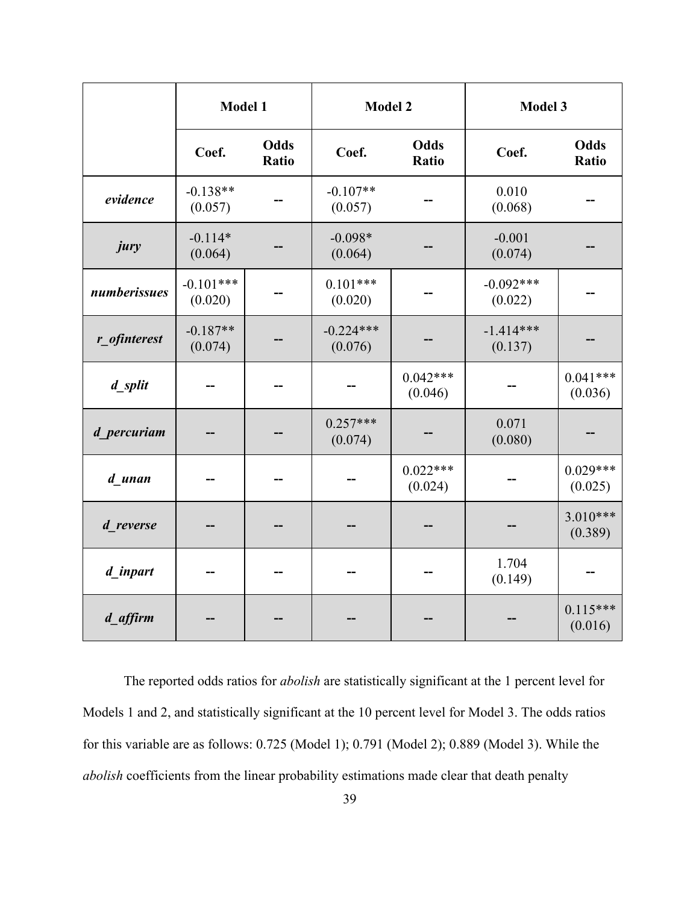|              | Model 1                |                      | <b>Model 2</b>         |                       | Model 3                |                       |
|--------------|------------------------|----------------------|------------------------|-----------------------|------------------------|-----------------------|
|              | Coef.                  | <b>Odds</b><br>Ratio | Coef.                  | <b>Odds</b><br>Ratio  | Coef.                  | Odds<br>Ratio         |
| evidence     | $-0.138**$<br>(0.057)  |                      | $-0.107**$<br>(0.057)  |                       | 0.010<br>(0.068)       |                       |
| jury         | $-0.114*$<br>(0.064)   |                      | $-0.098*$<br>(0.064)   |                       | $-0.001$<br>(0.074)    |                       |
| numberissues | $-0.101***$<br>(0.020) |                      | $0.101***$<br>(0.020)  |                       | $-0.092***$<br>(0.022) |                       |
| r_ofinterest | $-0.187**$<br>(0.074)  |                      | $-0.224***$<br>(0.076) |                       | $-1.414***$<br>(0.137) |                       |
| d_split      |                        |                      |                        | $0.042***$<br>(0.046) |                        | $0.041***$<br>(0.036) |
| d percuriam  |                        |                      | $0.257***$<br>(0.074)  |                       | 0.071<br>(0.080)       |                       |
| d unan       |                        |                      |                        | $0.022***$<br>(0.024) |                        | $0.029***$<br>(0.025) |
| d reverse    |                        |                      |                        |                       |                        | $3.010***$<br>(0.389) |
| d inpart     |                        |                      |                        |                       | 1.704<br>(0.149)       |                       |
| d_affirm     |                        |                      |                        |                       |                        | $0.115***$<br>(0.016) |

The reported odds ratios for *abolish* are statistically significant at the 1 percent level for Models 1 and 2, and statistically significant at the 10 percent level for Model 3. The odds ratios for this variable are as follows: 0.725 (Model 1); 0.791 (Model 2); 0.889 (Model 3). While the *abolish* coefficients from the linear probability estimations made clear that death penalty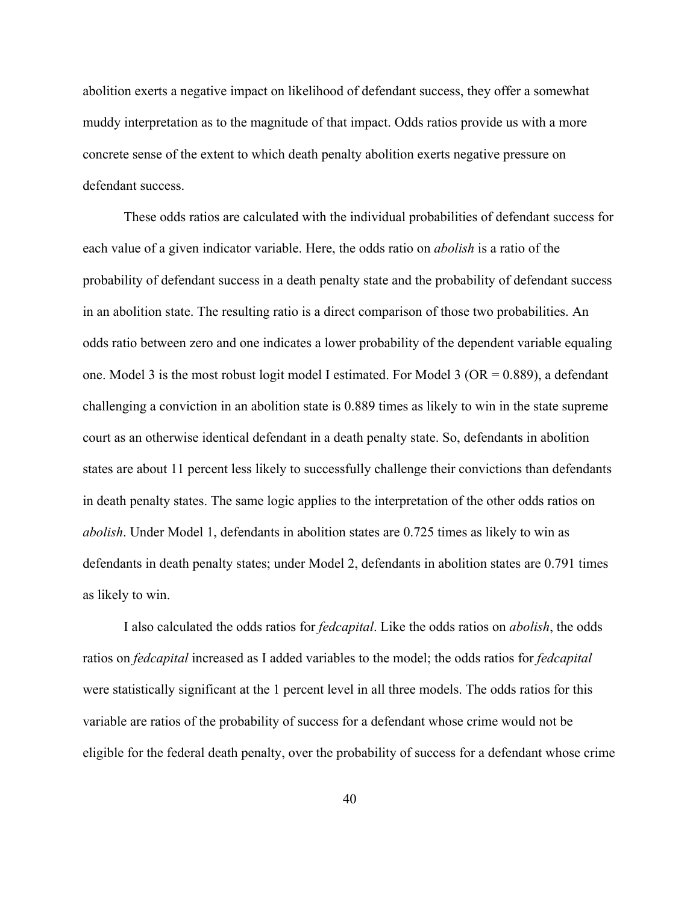abolition exerts a negative impact on likelihood of defendant success, they offer a somewhat muddy interpretation as to the magnitude of that impact. Odds ratios provide us with a more concrete sense of the extent to which death penalty abolition exerts negative pressure on defendant success.

These odds ratios are calculated with the individual probabilities of defendant success for each value of a given indicator variable. Here, the odds ratio on *abolish* is a ratio of the probability of defendant success in a death penalty state and the probability of defendant success in an abolition state. The resulting ratio is a direct comparison of those two probabilities. An odds ratio between zero and one indicates a lower probability of the dependent variable equaling one. Model 3 is the most robust logit model I estimated. For Model 3 (OR =  $0.889$ ), a defendant challenging a conviction in an abolition state is 0.889 times as likely to win in the state supreme court as an otherwise identical defendant in a death penalty state. So, defendants in abolition states are about 11 percent less likely to successfully challenge their convictions than defendants in death penalty states. The same logic applies to the interpretation of the other odds ratios on *abolish*. Under Model 1, defendants in abolition states are 0.725 times as likely to win as defendants in death penalty states; under Model 2, defendants in abolition states are 0.791 times as likely to win.

I also calculated the odds ratios for *fedcapital*. Like the odds ratios on *abolish*, the odds ratios on *fedcapital* increased as I added variables to the model; the odds ratios for *fedcapital* were statistically significant at the 1 percent level in all three models. The odds ratios for this variable are ratios of the probability of success for a defendant whose crime would not be eligible for the federal death penalty, over the probability of success for a defendant whose crime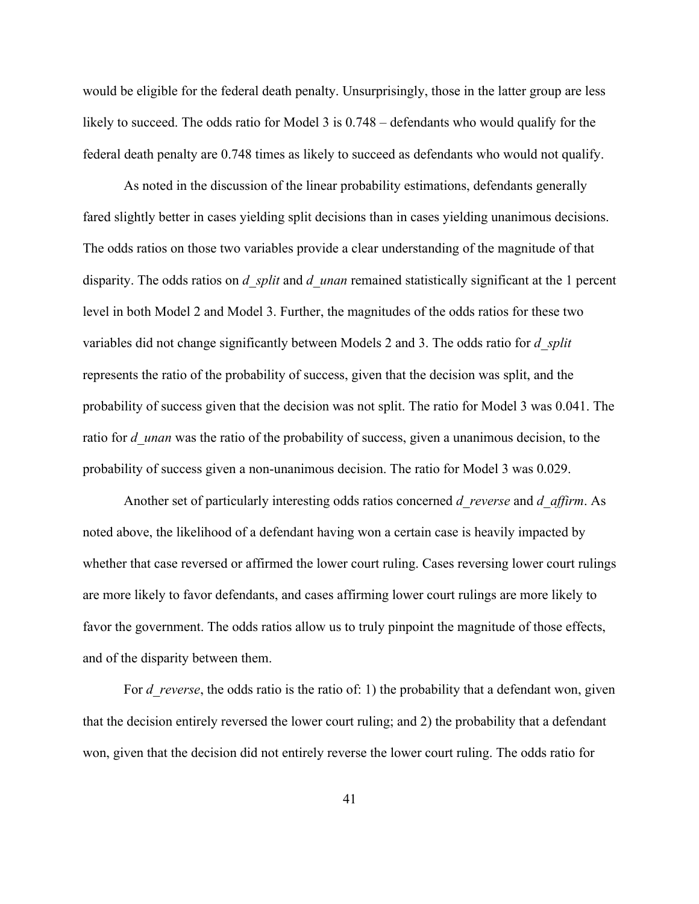would be eligible for the federal death penalty. Unsurprisingly, those in the latter group are less likely to succeed. The odds ratio for Model 3 is  $0.748$  – defendants who would qualify for the federal death penalty are 0.748 times as likely to succeed as defendants who would not qualify.

As noted in the discussion of the linear probability estimations, defendants generally fared slightly better in cases yielding split decisions than in cases yielding unanimous decisions. The odds ratios on those two variables provide a clear understanding of the magnitude of that disparity. The odds ratios on *d\_split* and *d\_unan* remained statistically significant at the 1 percent level in both Model 2 and Model 3. Further, the magnitudes of the odds ratios for these two variables did not change significantly between Models 2 and 3. The odds ratio for *d\_split* represents the ratio of the probability of success, given that the decision was split, and the probability of success given that the decision was not split. The ratio for Model 3 was 0.041. The ratio for *d* unan was the ratio of the probability of success, given a unanimous decision, to the probability of success given a non-unanimous decision. The ratio for Model 3 was 0.029.

Another set of particularly interesting odds ratios concerned *d\_reverse* and *d\_affirm*. As noted above, the likelihood of a defendant having won a certain case is heavily impacted by whether that case reversed or affirmed the lower court ruling. Cases reversing lower court rulings are more likely to favor defendants, and cases affirming lower court rulings are more likely to favor the government. The odds ratios allow us to truly pinpoint the magnitude of those effects, and of the disparity between them.

For *d* reverse, the odds ratio is the ratio of: 1) the probability that a defendant won, given that the decision entirely reversed the lower court ruling; and 2) the probability that a defendant won, given that the decision did not entirely reverse the lower court ruling. The odds ratio for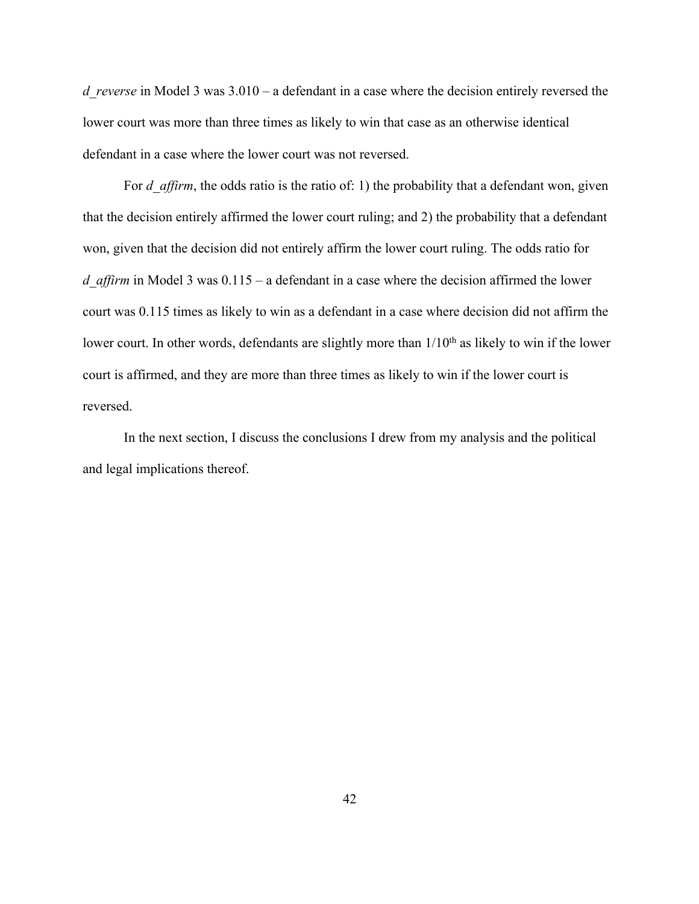*d\_reverse* in Model 3 was 3.010 – a defendant in a case where the decision entirely reversed the lower court was more than three times as likely to win that case as an otherwise identical defendant in a case where the lower court was not reversed.

For *d* affirm, the odds ratio is the ratio of: 1) the probability that a defendant won, given that the decision entirely affirmed the lower court ruling; and 2) the probability that a defendant won, given that the decision did not entirely affirm the lower court ruling. The odds ratio for *d* affirm in Model 3 was  $0.115 - a$  defendant in a case where the decision affirmed the lower court was 0.115 times as likely to win as a defendant in a case where decision did not affirm the lower court. In other words, defendants are slightly more than  $1/10<sup>th</sup>$  as likely to win if the lower court is affirmed, and they are more than three times as likely to win if the lower court is reversed.

In the next section, I discuss the conclusions I drew from my analysis and the political and legal implications thereof.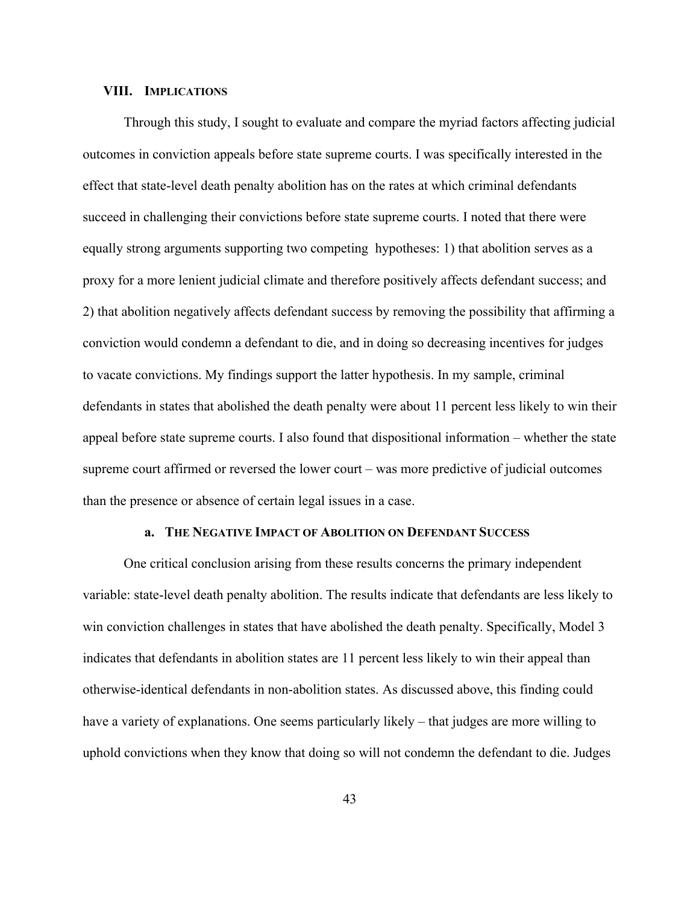### **VIII. IMPLICATIONS**

Through this study, I sought to evaluate and compare the myriad factors affecting judicial outcomes in conviction appeals before state supreme courts. I was specifically interested in the effect that state-level death penalty abolition has on the rates at which criminal defendants succeed in challenging their convictions before state supreme courts. I noted that there were equally strong arguments supporting two competing hypotheses: 1) that abolition serves as a proxy for a more lenient judicial climate and therefore positively affects defendant success; and 2) that abolition negatively affects defendant success by removing the possibility that affirming a conviction would condemn a defendant to die, and in doing so decreasing incentives for judges to vacate convictions. My findings support the latter hypothesis. In my sample, criminal defendants in states that abolished the death penalty were about 11 percent less likely to win their appeal before state supreme courts. I also found that dispositional information – whether the state supreme court affirmed or reversed the lower court – was more predictive of judicial outcomes than the presence or absence of certain legal issues in a case.

### **a. THE NEGATIVE IMPACT OF ABOLITION ON DEFENDANT SUCCESS**

One critical conclusion arising from these results concerns the primary independent variable: state-level death penalty abolition. The results indicate that defendants are less likely to win conviction challenges in states that have abolished the death penalty. Specifically, Model 3 indicates that defendants in abolition states are 11 percent less likely to win their appeal than otherwise-identical defendants in non-abolition states. As discussed above, this finding could have a variety of explanations. One seems particularly likely – that judges are more willing to uphold convictions when they know that doing so will not condemn the defendant to die. Judges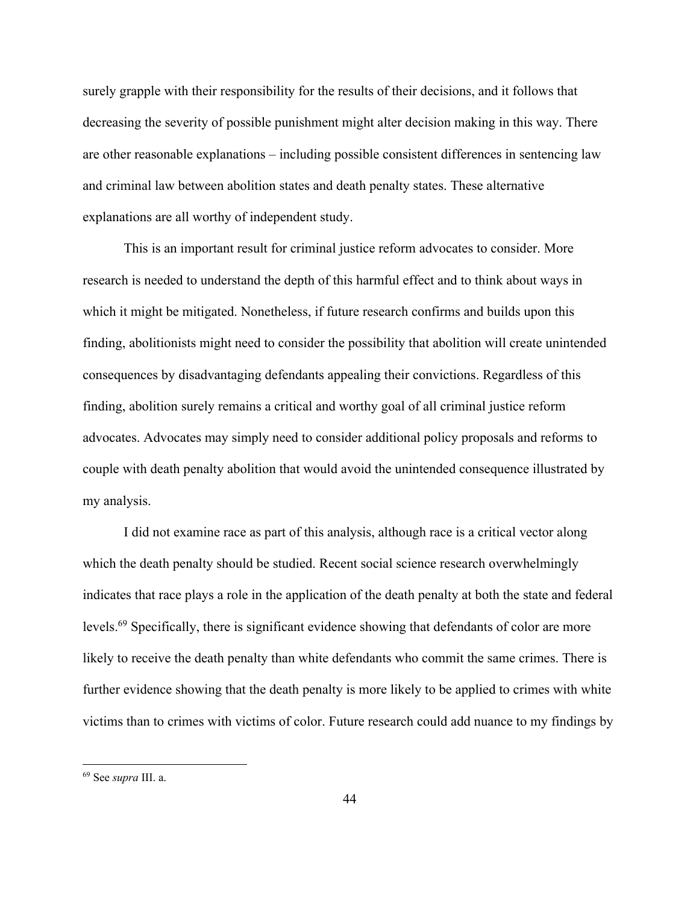surely grapple with their responsibility for the results of their decisions, and it follows that decreasing the severity of possible punishment might alter decision making in this way. There are other reasonable explanations – including possible consistent differences in sentencing law and criminal law between abolition states and death penalty states. These alternative explanations are all worthy of independent study.

This is an important result for criminal justice reform advocates to consider. More research is needed to understand the depth of this harmful effect and to think about ways in which it might be mitigated. Nonetheless, if future research confirms and builds upon this finding, abolitionists might need to consider the possibility that abolition will create unintended consequences by disadvantaging defendants appealing their convictions. Regardless of this finding, abolition surely remains a critical and worthy goal of all criminal justice reform advocates. Advocates may simply need to consider additional policy proposals and reforms to couple with death penalty abolition that would avoid the unintended consequence illustrated by my analysis.

I did not examine race as part of this analysis, although race is a critical vector along which the death penalty should be studied. Recent social science research overwhelmingly indicates that race plays a role in the application of the death penalty at both the state and federal levels.69 Specifically, there is significant evidence showing that defendants of color are more likely to receive the death penalty than white defendants who commit the same crimes. There is further evidence showing that the death penalty is more likely to be applied to crimes with white victims than to crimes with victims of color. Future research could add nuance to my findings by

<sup>69</sup> See *supra* III. a.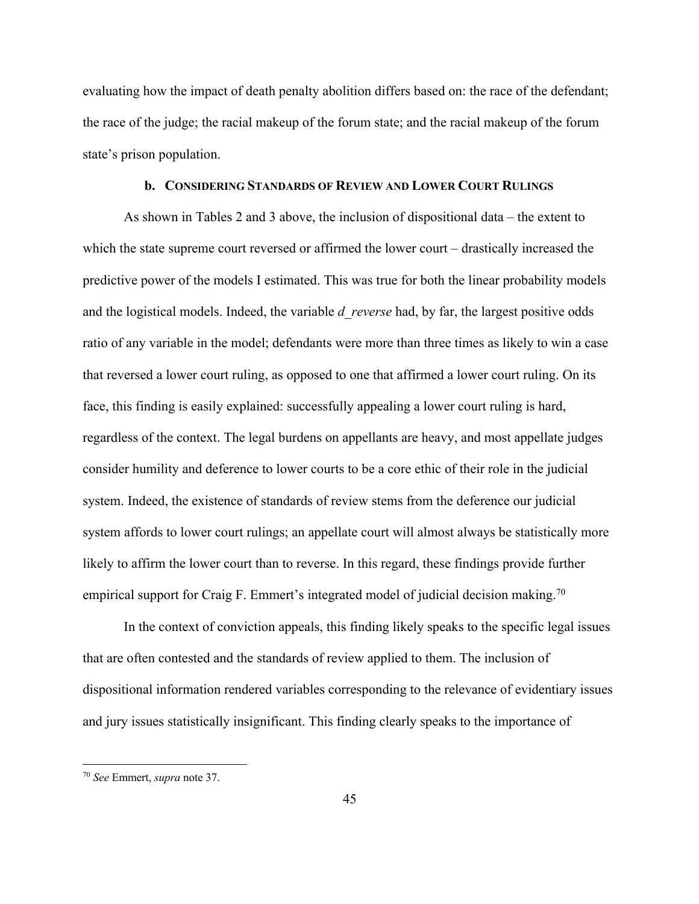evaluating how the impact of death penalty abolition differs based on: the race of the defendant; the race of the judge; the racial makeup of the forum state; and the racial makeup of the forum state's prison population.

# **b. CONSIDERING STANDARDS OF REVIEW AND LOWER COURT RULINGS**

As shown in Tables 2 and 3 above, the inclusion of dispositional data – the extent to which the state supreme court reversed or affirmed the lower court – drastically increased the predictive power of the models I estimated. This was true for both the linear probability models and the logistical models. Indeed, the variable *d\_reverse* had, by far, the largest positive odds ratio of any variable in the model; defendants were more than three times as likely to win a case that reversed a lower court ruling, as opposed to one that affirmed a lower court ruling. On its face, this finding is easily explained: successfully appealing a lower court ruling is hard, regardless of the context. The legal burdens on appellants are heavy, and most appellate judges consider humility and deference to lower courts to be a core ethic of their role in the judicial system. Indeed, the existence of standards of review stems from the deference our judicial system affords to lower court rulings; an appellate court will almost always be statistically more likely to affirm the lower court than to reverse. In this regard, these findings provide further empirical support for Craig F. Emmert's integrated model of judicial decision making.<sup>70</sup>

In the context of conviction appeals, this finding likely speaks to the specific legal issues that are often contested and the standards of review applied to them. The inclusion of dispositional information rendered variables corresponding to the relevance of evidentiary issues and jury issues statistically insignificant. This finding clearly speaks to the importance of

<sup>70</sup> *See* Emmert, *supra* note 37.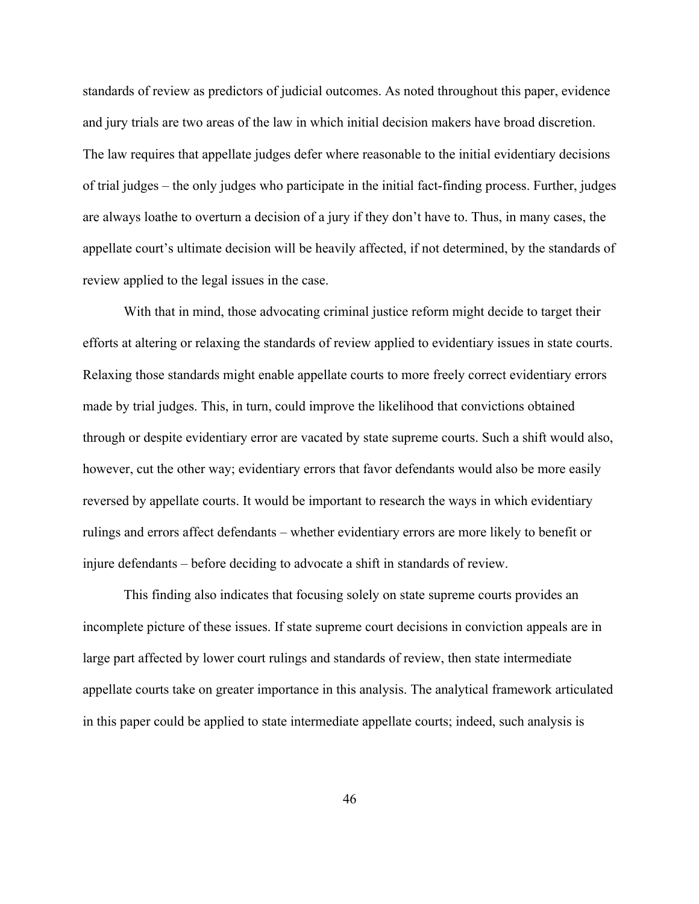standards of review as predictors of judicial outcomes. As noted throughout this paper, evidence and jury trials are two areas of the law in which initial decision makers have broad discretion. The law requires that appellate judges defer where reasonable to the initial evidentiary decisions of trial judges – the only judges who participate in the initial fact-finding process. Further, judges are always loathe to overturn a decision of a jury if they don't have to. Thus, in many cases, the appellate court's ultimate decision will be heavily affected, if not determined, by the standards of review applied to the legal issues in the case.

With that in mind, those advocating criminal justice reform might decide to target their efforts at altering or relaxing the standards of review applied to evidentiary issues in state courts. Relaxing those standards might enable appellate courts to more freely correct evidentiary errors made by trial judges. This, in turn, could improve the likelihood that convictions obtained through or despite evidentiary error are vacated by state supreme courts. Such a shift would also, however, cut the other way; evidentiary errors that favor defendants would also be more easily reversed by appellate courts. It would be important to research the ways in which evidentiary rulings and errors affect defendants – whether evidentiary errors are more likely to benefit or injure defendants – before deciding to advocate a shift in standards of review.

This finding also indicates that focusing solely on state supreme courts provides an incomplete picture of these issues. If state supreme court decisions in conviction appeals are in large part affected by lower court rulings and standards of review, then state intermediate appellate courts take on greater importance in this analysis. The analytical framework articulated in this paper could be applied to state intermediate appellate courts; indeed, such analysis is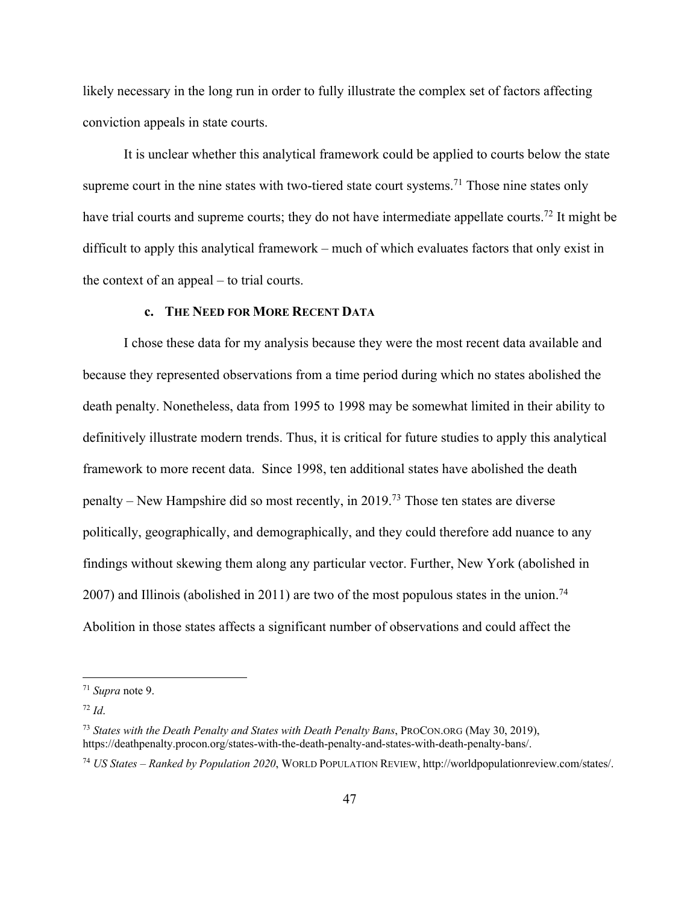likely necessary in the long run in order to fully illustrate the complex set of factors affecting conviction appeals in state courts.

It is unclear whether this analytical framework could be applied to courts below the state supreme court in the nine states with two-tiered state court systems.<sup>71</sup> Those nine states only have trial courts and supreme courts; they do not have intermediate appellate courts.<sup>72</sup> It might be difficult to apply this analytical framework – much of which evaluates factors that only exist in the context of an appeal – to trial courts.

### **c. THE NEED FOR MORE RECENT DATA**

I chose these data for my analysis because they were the most recent data available and because they represented observations from a time period during which no states abolished the death penalty. Nonetheless, data from 1995 to 1998 may be somewhat limited in their ability to definitively illustrate modern trends. Thus, it is critical for future studies to apply this analytical framework to more recent data. Since 1998, ten additional states have abolished the death penalty – New Hampshire did so most recently, in 2019.73 Those ten states are diverse politically, geographically, and demographically, and they could therefore add nuance to any findings without skewing them along any particular vector. Further, New York (abolished in 2007) and Illinois (abolished in 2011) are two of the most populous states in the union.<sup>74</sup> Abolition in those states affects a significant number of observations and could affect the

<sup>71</sup> *Supra* note 9.

<sup>72</sup> *Id*.

<sup>73</sup> *States with the Death Penalty and States with Death Penalty Bans*, PROCON.ORG (May 30, 2019), https://deathpenalty.procon.org/states-with-the-death-penalty-and-states-with-death-penalty-bans/.

<sup>74</sup> *US States – Ranked by Population 2020*, WORLD POPULATION REVIEW, http://worldpopulationreview.com/states/.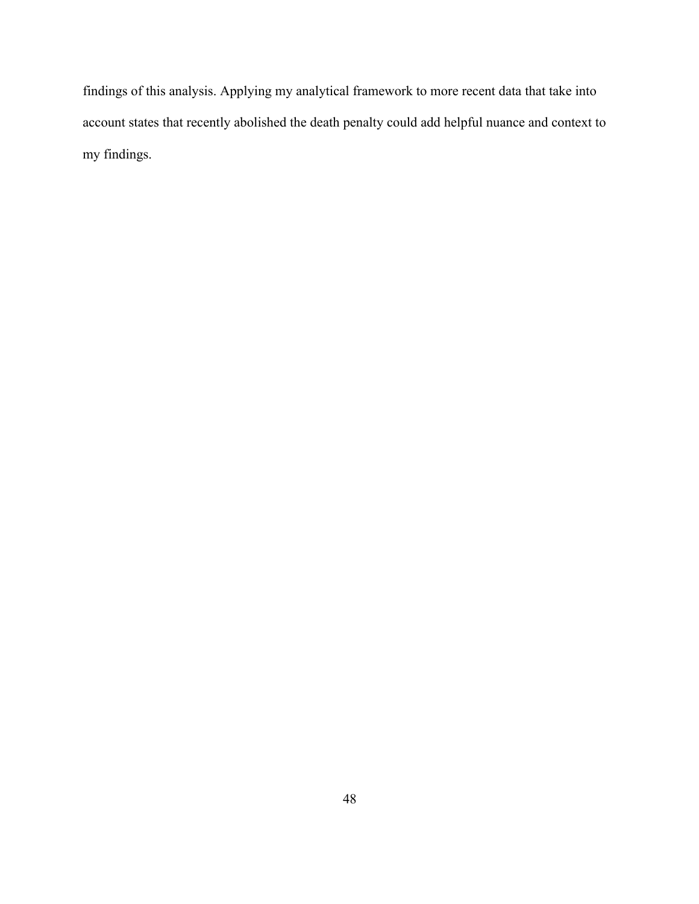findings of this analysis. Applying my analytical framework to more recent data that take into account states that recently abolished the death penalty could add helpful nuance and context to my findings.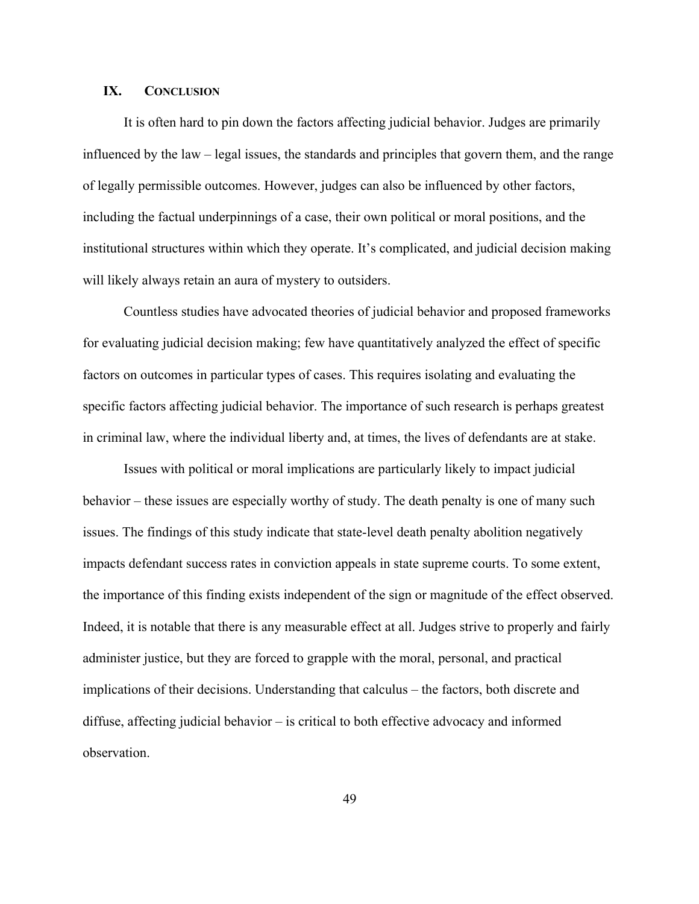### **IX. CONCLUSION**

It is often hard to pin down the factors affecting judicial behavior. Judges are primarily influenced by the law – legal issues, the standards and principles that govern them, and the range of legally permissible outcomes. However, judges can also be influenced by other factors, including the factual underpinnings of a case, their own political or moral positions, and the institutional structures within which they operate. It's complicated, and judicial decision making will likely always retain an aura of mystery to outsiders.

Countless studies have advocated theories of judicial behavior and proposed frameworks for evaluating judicial decision making; few have quantitatively analyzed the effect of specific factors on outcomes in particular types of cases. This requires isolating and evaluating the specific factors affecting judicial behavior. The importance of such research is perhaps greatest in criminal law, where the individual liberty and, at times, the lives of defendants are at stake.

Issues with political or moral implications are particularly likely to impact judicial behavior – these issues are especially worthy of study. The death penalty is one of many such issues. The findings of this study indicate that state-level death penalty abolition negatively impacts defendant success rates in conviction appeals in state supreme courts. To some extent, the importance of this finding exists independent of the sign or magnitude of the effect observed. Indeed, it is notable that there is any measurable effect at all. Judges strive to properly and fairly administer justice, but they are forced to grapple with the moral, personal, and practical implications of their decisions. Understanding that calculus – the factors, both discrete and diffuse, affecting judicial behavior – is critical to both effective advocacy and informed observation.

49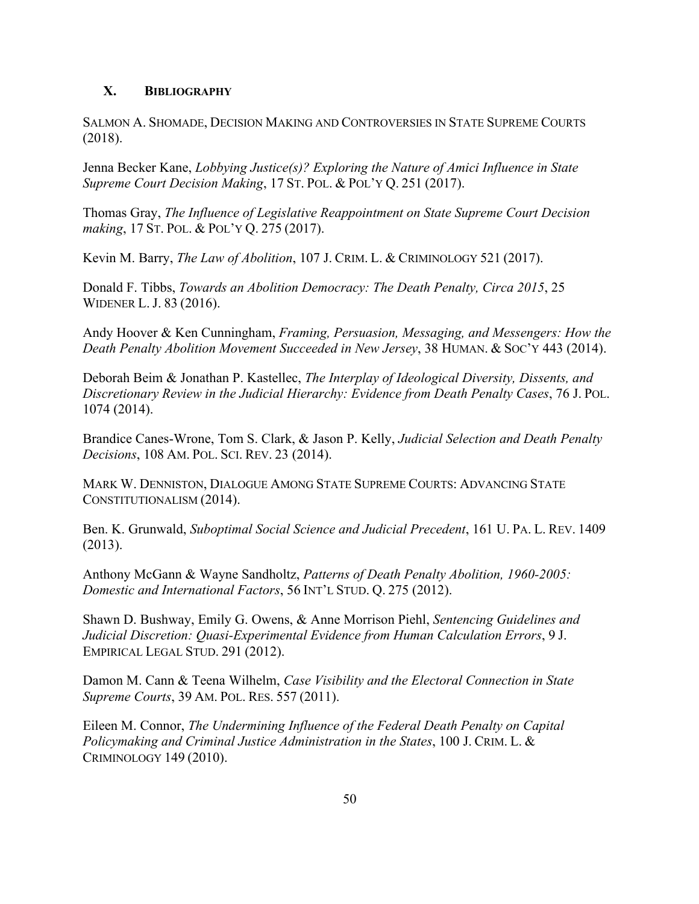# **X. BIBLIOGRAPHY**

SALMON A. SHOMADE, DECISION MAKING AND CONTROVERSIES IN STATE SUPREME COURTS (2018).

Jenna Becker Kane, *Lobbying Justice(s)? Exploring the Nature of Amici Influence in State Supreme Court Decision Making*, 17 ST. POL. & POL'Y Q. 251 (2017).

Thomas Gray, *The Influence of Legislative Reappointment on State Supreme Court Decision making*, 17 ST. POL. & POL'Y Q. 275 (2017).

Kevin M. Barry, *The Law of Abolition*, 107 J. CRIM. L. & CRIMINOLOGY 521 (2017).

Donald F. Tibbs, *Towards an Abolition Democracy: The Death Penalty, Circa 2015*, 25 WIDENER L. J. 83 (2016).

Andy Hoover & Ken Cunningham, *Framing, Persuasion, Messaging, and Messengers: How the Death Penalty Abolition Movement Succeeded in New Jersey*, 38 HUMAN. & SOC'Y 443 (2014).

Deborah Beim & Jonathan P. Kastellec, *The Interplay of Ideological Diversity, Dissents, and Discretionary Review in the Judicial Hierarchy: Evidence from Death Penalty Cases*, 76 J. POL. 1074 (2014).

Brandice Canes-Wrone, Tom S. Clark, & Jason P. Kelly, *Judicial Selection and Death Penalty Decisions*, 108 AM. POL. SCI. REV. 23 (2014).

MARK W. DENNISTON, DIALOGUE AMONG STATE SUPREME COURTS: ADVANCING STATE CONSTITUTIONALISM (2014).

Ben. K. Grunwald, *Suboptimal Social Science and Judicial Precedent*, 161 U. PA. L. REV. 1409 (2013).

Anthony McGann & Wayne Sandholtz, *Patterns of Death Penalty Abolition, 1960-2005: Domestic and International Factors*, 56 INT'L STUD. Q. 275 (2012).

Shawn D. Bushway, Emily G. Owens, & Anne Morrison Piehl, *Sentencing Guidelines and Judicial Discretion: Quasi-Experimental Evidence from Human Calculation Errors*, 9 J. EMPIRICAL LEGAL STUD. 291 (2012).

Damon M. Cann & Teena Wilhelm, *Case Visibility and the Electoral Connection in State Supreme Courts*, 39 AM. POL. RES. 557 (2011).

Eileen M. Connor, *The Undermining Influence of the Federal Death Penalty on Capital Policymaking and Criminal Justice Administration in the States*, 100 J. CRIM. L. & CRIMINOLOGY 149 (2010).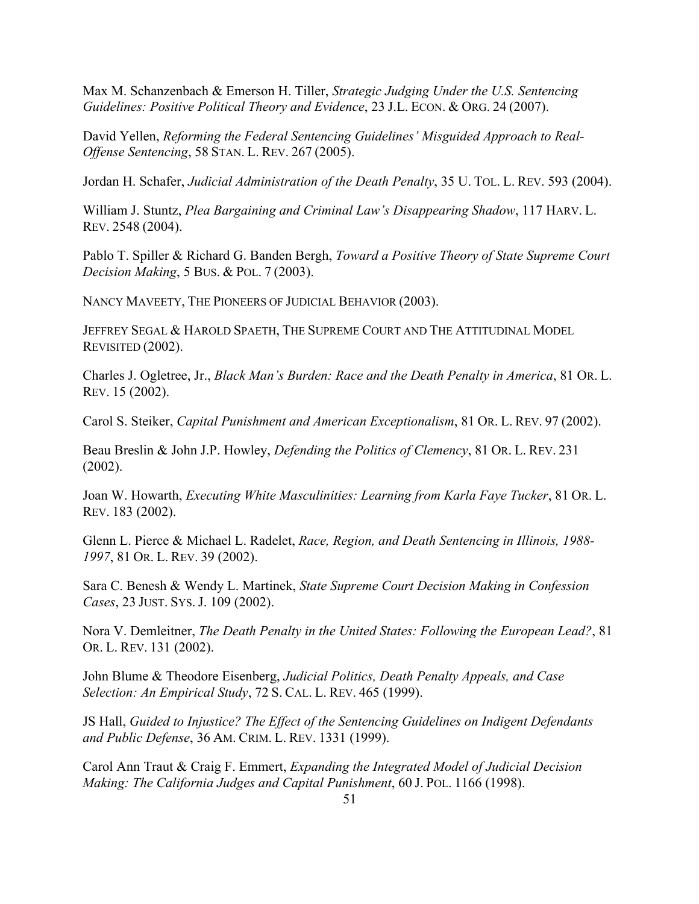Max M. Schanzenbach & Emerson H. Tiller, *Strategic Judging Under the U.S. Sentencing Guidelines: Positive Political Theory and Evidence*, 23 J.L. ECON. & ORG. 24 (2007).

David Yellen, *Reforming the Federal Sentencing Guidelines' Misguided Approach to Real-Offense Sentencing*, 58 STAN. L. REV. 267 (2005).

Jordan H. Schafer, *Judicial Administration of the Death Penalty*, 35 U. TOL. L. REV. 593 (2004).

William J. Stuntz, *Plea Bargaining and Criminal Law's Disappearing Shadow*, 117 HARV. L. REV. 2548 (2004).

Pablo T. Spiller & Richard G. Banden Bergh, *Toward a Positive Theory of State Supreme Court Decision Making*, 5 BUS. & POL. 7 (2003).

NANCY MAVEETY, THE PIONEERS OF JUDICIAL BEHAVIOR (2003).

JEFFREY SEGAL & HAROLD SPAETH, THE SUPREME COURT AND THE ATTITUDINAL MODEL REVISITED (2002).

Charles J. Ogletree, Jr., *Black Man's Burden: Race and the Death Penalty in America*, 81 OR. L. REV. 15 (2002).

Carol S. Steiker, *Capital Punishment and American Exceptionalism*, 81 OR. L. REV. 97 (2002).

Beau Breslin & John J.P. Howley, *Defending the Politics of Clemency*, 81 OR. L. REV. 231 (2002).

Joan W. Howarth, *Executing White Masculinities: Learning from Karla Faye Tucker*, 81 OR. L. REV. 183 (2002).

Glenn L. Pierce & Michael L. Radelet, *Race, Region, and Death Sentencing in Illinois, 1988- 1997*, 81 OR. L. REV. 39 (2002).

Sara C. Benesh & Wendy L. Martinek, *State Supreme Court Decision Making in Confession Cases*, 23 JUST. SYS. J. 109 (2002).

Nora V. Demleitner, *The Death Penalty in the United States: Following the European Lead?*, 81 OR. L. REV. 131 (2002).

John Blume & Theodore Eisenberg, *Judicial Politics, Death Penalty Appeals, and Case Selection: An Empirical Study*, 72 S. CAL. L. REV. 465 (1999).

JS Hall, *Guided to Injustice? The Effect of the Sentencing Guidelines on Indigent Defendants and Public Defense*, 36 AM. CRIM. L. REV. 1331 (1999).

Carol Ann Traut & Craig F. Emmert, *Expanding the Integrated Model of Judicial Decision Making: The California Judges and Capital Punishment*, 60 J. POL. 1166 (1998).